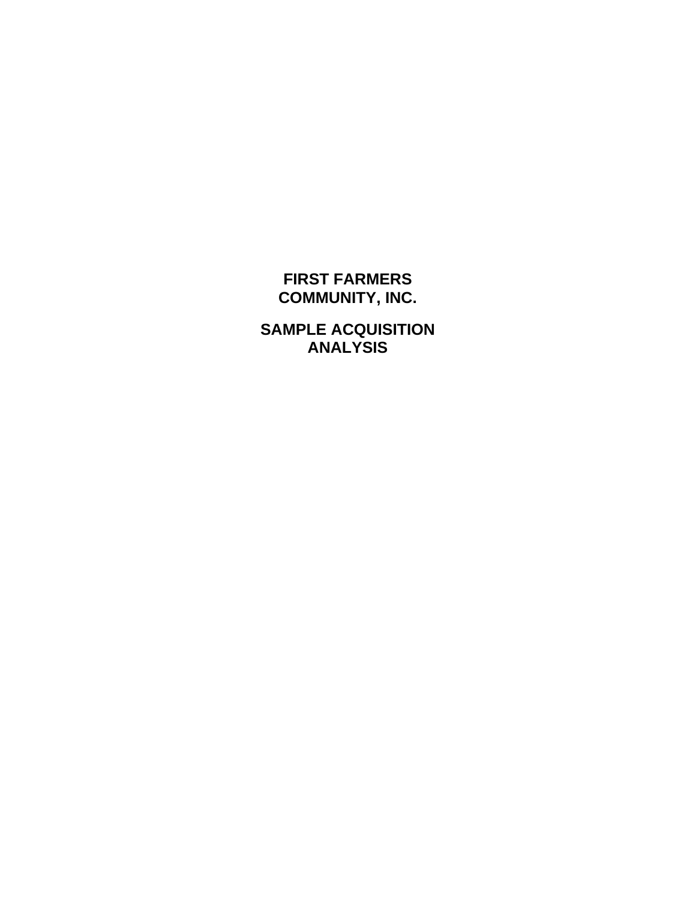#### **FIRST FARMERS COMMUNITY, INC.**

**SAMPLE ACQUISITION ANALYSIS**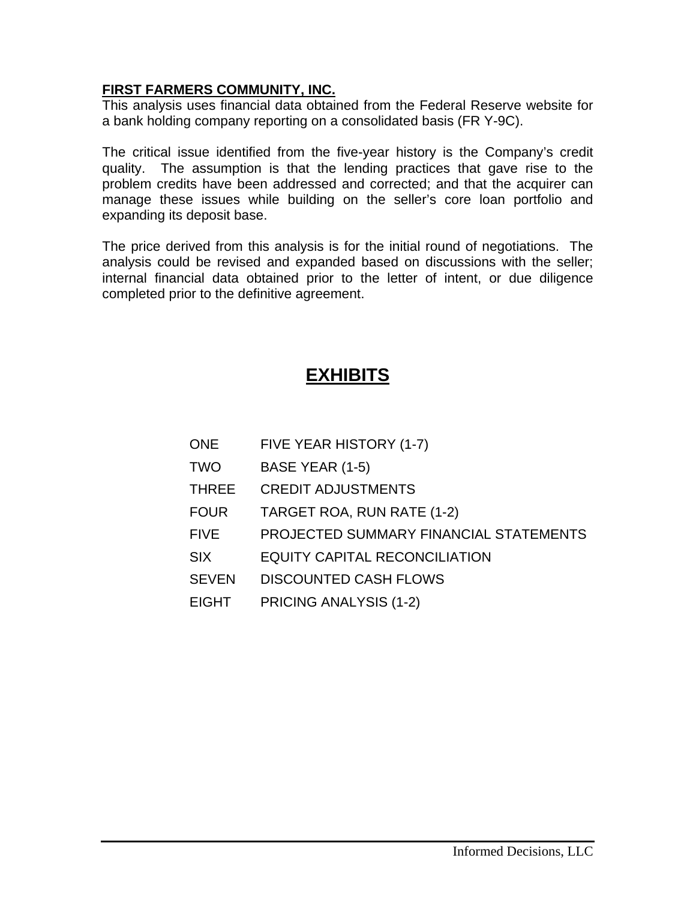#### **FIRST FARMERS COMMUNITY, INC.**

This analysis uses financial data obtained from the Federal Reserve website for a bank holding company reporting on a consolidated basis (FR Y-9C).

The critical issue identified from the five-year history is the Company's credit quality. The assumption is that the lending practices that gave rise to the problem credits have been addressed and corrected; and that the acquirer can manage these issues while building on the seller's core loan portfolio and expanding its deposit base.

The price derived from this analysis is for the initial round of negotiations. The analysis could be revised and expanded based on discussions with the seller; internal financial data obtained prior to the letter of intent, or due diligence completed prior to the definitive agreement.

#### **EXHIBITS**

| <b>ONE</b>   | FIVE YEAR HISTORY (1-7)                |
|--------------|----------------------------------------|
| <b>TWO</b>   | BASE YEAR (1-5)                        |
| <b>THREE</b> | <b>CREDIT ADJUSTMENTS</b>              |
| <b>FOUR</b>  | TARGET ROA, RUN RATE (1-2)             |
| <b>FIVE</b>  | PROJECTED SUMMARY FINANCIAL STATEMENTS |
| <b>SIX</b>   | <b>EQUITY CAPITAL RECONCILIATION</b>   |
| <b>SEVEN</b> | <b>DISCOUNTED CASH FLOWS</b>           |
| <b>EIGHT</b> | PRICING ANALYSIS (1-2)                 |
|              |                                        |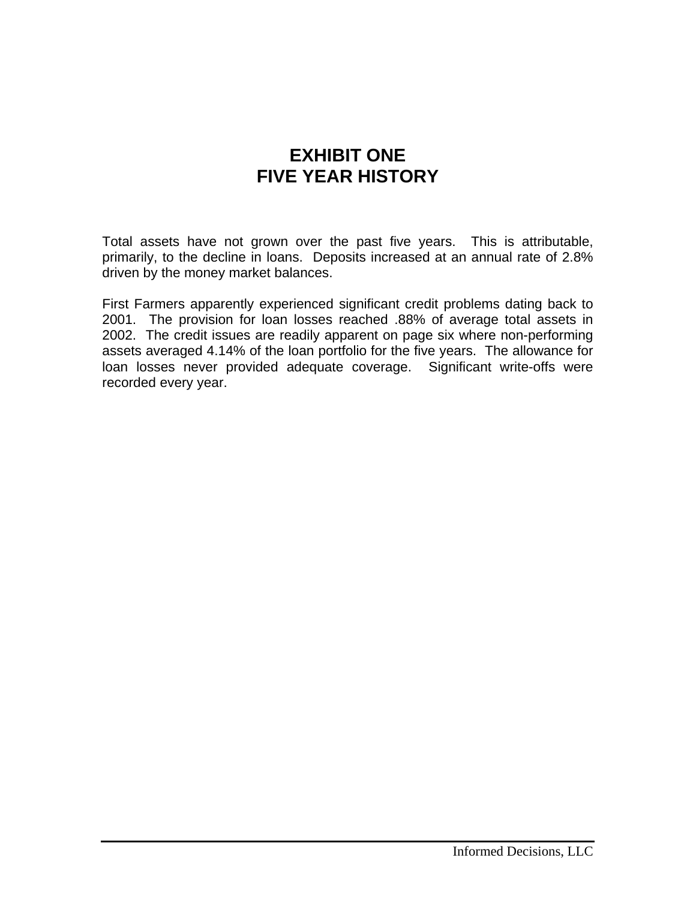#### **EXHIBIT ONE FIVE YEAR HISTORY**

Total assets have not grown over the past five years. This is attributable, primarily, to the decline in loans. Deposits increased at an annual rate of 2.8% driven by the money market balances.

First Farmers apparently experienced significant credit problems dating back to 2001. The provision for loan losses reached .88% of average total assets in 2002. The credit issues are readily apparent on page six where non-performing assets averaged 4.14% of the loan portfolio for the five years. The allowance for loan losses never provided adequate coverage. Significant write-offs were recorded every year.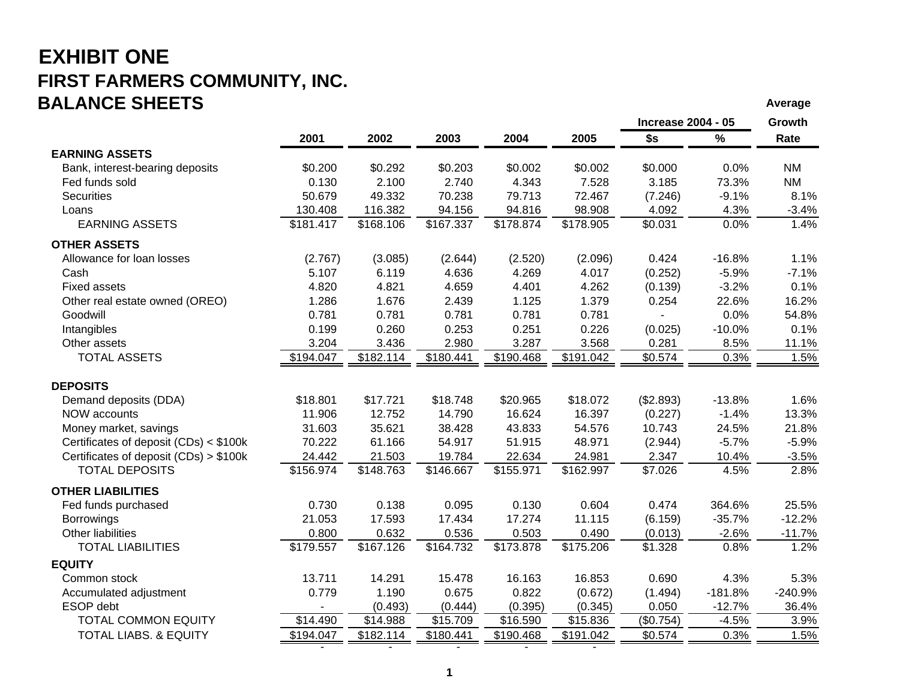#### **EXHIBIT ONE FIRST FARMERS COMMUNITY, INC. BALANCE SHEETSAverage of the contract of the contract of the contract of the contract of the contract of the contract of the contract of the contract of the contract of the contract of the contract of the contract of the contract of th**

|                                        |                |           |           |           |                       | <b>Increase 2004 - 05</b> |           | Growth    |
|----------------------------------------|----------------|-----------|-----------|-----------|-----------------------|---------------------------|-----------|-----------|
|                                        | 2001           | 2002      | 2003      | 2004      | 2005                  | \$s                       | $\%$      | Rate      |
| <b>EARNING ASSETS</b>                  |                |           |           |           |                       |                           |           |           |
| Bank, interest-bearing deposits        | \$0.200        | \$0.292   | \$0.203   | \$0.002   | \$0.002               | \$0.000                   | 0.0%      | ΝM        |
| Fed funds sold                         | 0.130          | 2.100     | 2.740     | 4.343     | 7.528                 | 3.185                     | 73.3%     | <b>NM</b> |
| <b>Securities</b>                      | 50.679         | 49.332    | 70.238    | 79.713    | 72.467                | (7.246)                   | $-9.1%$   | 8.1%      |
| Loans                                  | 130.408        | 116.382   | 94.156    | 94.816    | 98.908                | 4.092                     | 4.3%      | $-3.4%$   |
| <b>EARNING ASSETS</b>                  | \$181.417      | \$168.106 | \$167.337 | \$178.874 | \$178.905             | \$0.031                   | 0.0%      | 1.4%      |
| <b>OTHER ASSETS</b>                    |                |           |           |           |                       |                           |           |           |
| Allowance for loan losses              | (2.767)        | (3.085)   | (2.644)   | (2.520)   | (2.096)               | 0.424                     | $-16.8%$  | 1.1%      |
| Cash                                   | 5.107          | 6.119     | 4.636     | 4.269     | 4.017                 | (0.252)                   | $-5.9%$   | $-7.1%$   |
| <b>Fixed assets</b>                    | 4.820          | 4.821     | 4.659     | 4.401     | 4.262                 | (0.139)                   | $-3.2%$   | 0.1%      |
| Other real estate owned (OREO)         | 1.286          | 1.676     | 2.439     | 1.125     | 1.379                 | 0.254                     | 22.6%     | 16.2%     |
| Goodwill                               | 0.781          | 0.781     | 0.781     | 0.781     | 0.781                 |                           | 0.0%      | 54.8%     |
| Intangibles                            | 0.199          | 0.260     | 0.253     | 0.251     | 0.226                 | (0.025)                   | $-10.0%$  | 0.1%      |
| Other assets                           | 3.204          | 3.436     | 2.980     | 3.287     | 3.568                 | 0.281                     | 8.5%      | 11.1%     |
| <b>TOTAL ASSETS</b>                    | \$194.047      | \$182.114 | \$180.441 | \$190.468 | \$191.042             | \$0.574                   | 0.3%      | 1.5%      |
| <b>DEPOSITS</b>                        |                |           |           |           |                       |                           |           |           |
| Demand deposits (DDA)                  | \$18.801       | \$17.721  | \$18.748  | \$20.965  | \$18.072              | (\$2.893)                 | $-13.8%$  | 1.6%      |
| <b>NOW accounts</b>                    | 11.906         | 12.752    | 14.790    | 16.624    | 16.397                | (0.227)                   | $-1.4%$   | 13.3%     |
| Money market, savings                  | 31.603         | 35.621    | 38.428    | 43.833    | 54.576                | 10.743                    | 24.5%     | 21.8%     |
| Certificates of deposit (CDs) < \$100k | 70.222         | 61.166    | 54.917    | 51.915    | 48.971                | (2.944)                   | $-5.7%$   | $-5.9%$   |
| Certificates of deposit (CDs) > \$100k | 24.442         | 21.503    | 19.784    | 22.634    | 24.981                | 2.347                     | 10.4%     | $-3.5%$   |
| <b>TOTAL DEPOSITS</b>                  | \$156.974      | \$148.763 | \$146.667 | \$155.971 | $\overline{$}162.997$ | \$7.026                   | 4.5%      | 2.8%      |
| <b>OTHER LIABILITIES</b>               |                |           |           |           |                       |                           |           |           |
| Fed funds purchased                    | 0.730          | 0.138     | 0.095     | 0.130     | 0.604                 | 0.474                     | 364.6%    | 25.5%     |
| <b>Borrowings</b>                      | 21.053         | 17.593    | 17.434    | 17.274    | 11.115                | (6.159)                   | $-35.7%$  | $-12.2%$  |
| Other liabilities                      | 0.800          | 0.632     | 0.536     | 0.503     | 0.490                 | (0.013)                   | $-2.6%$   | $-11.7%$  |
| <b>TOTAL LIABILITIES</b>               | \$179.557      | \$167.126 | \$164.732 | \$173.878 | \$175.206             | \$1.328                   | 0.8%      | 1.2%      |
| <b>EQUITY</b>                          |                |           |           |           |                       |                           |           |           |
| Common stock                           | 13.711         | 14.291    | 15.478    | 16.163    | 16.853                | 0.690                     | 4.3%      | 5.3%      |
| Accumulated adjustment                 | 0.779          | 1.190     | 0.675     | 0.822     | (0.672)               | (1.494)                   | $-181.8%$ | $-240.9%$ |
| ESOP debt                              | $\blacksquare$ | (0.493)   | (0.444)   | (0.395)   | (0.345)               | 0.050                     | $-12.7%$  | 36.4%     |
| <b>TOTAL COMMON EQUITY</b>             | \$14.490       | \$14.988  | \$15.709  | \$16.590  | \$15.836              | (\$0.754)                 | $-4.5%$   | 3.9%      |
| <b>TOTAL LIABS. &amp; EQUITY</b>       | \$194.047      | \$182.114 | \$180.441 | \$190.468 | \$191.042             | \$0.574                   | 0.3%      | 1.5%      |

- - - - -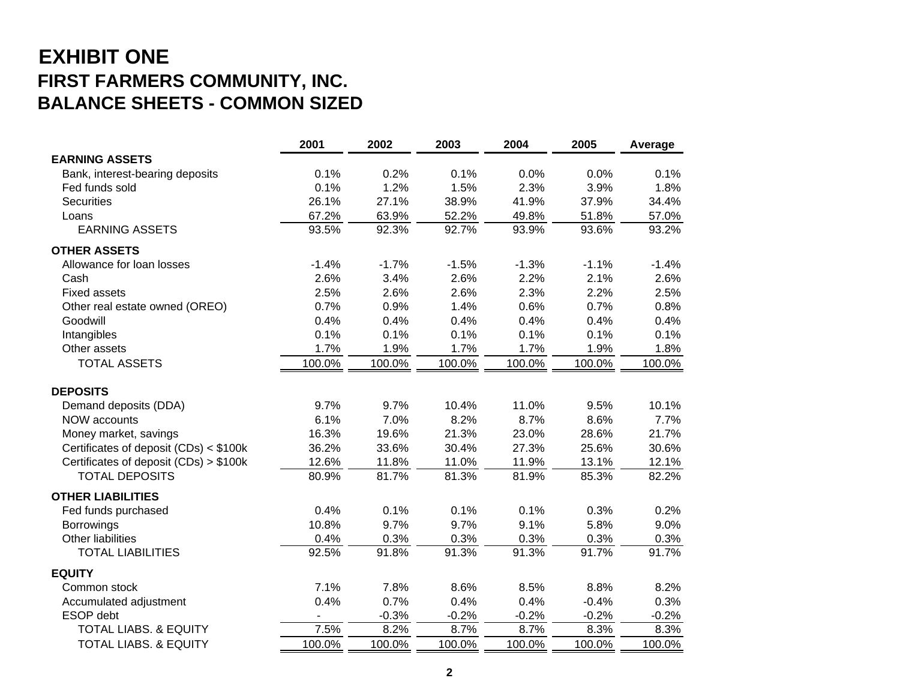## **EXHIBIT ONE FIRST FARMERS COMMUNITY, INC. BALANCE SHEETS - COMMON SIZED**

|                                        | 2001                     | 2002    | 2003    | 2004    | 2005    | Average |
|----------------------------------------|--------------------------|---------|---------|---------|---------|---------|
| <b>EARNING ASSETS</b>                  |                          |         |         |         |         |         |
| Bank, interest-bearing deposits        | 0.1%                     | 0.2%    | 0.1%    | 0.0%    | 0.0%    | 0.1%    |
| Fed funds sold                         | 0.1%                     | 1.2%    | 1.5%    | 2.3%    | 3.9%    | 1.8%    |
| <b>Securities</b>                      | 26.1%                    | 27.1%   | 38.9%   | 41.9%   | 37.9%   | 34.4%   |
| Loans                                  | 67.2%                    | 63.9%   | 52.2%   | 49.8%   | 51.8%   | 57.0%   |
| <b>EARNING ASSETS</b>                  | 93.5%                    | 92.3%   | 92.7%   | 93.9%   | 93.6%   | 93.2%   |
| <b>OTHER ASSETS</b>                    |                          |         |         |         |         |         |
| Allowance for loan losses              | $-1.4%$                  | $-1.7%$ | $-1.5%$ | $-1.3%$ | $-1.1%$ | $-1.4%$ |
| Cash                                   | 2.6%                     | 3.4%    | 2.6%    | 2.2%    | 2.1%    | 2.6%    |
| <b>Fixed assets</b>                    | 2.5%                     | 2.6%    | 2.6%    | 2.3%    | 2.2%    | 2.5%    |
| Other real estate owned (OREO)         | 0.7%                     | 0.9%    | 1.4%    | 0.6%    | 0.7%    | 0.8%    |
| Goodwill                               | 0.4%                     | 0.4%    | 0.4%    | 0.4%    | 0.4%    | 0.4%    |
| Intangibles                            | 0.1%                     | 0.1%    | 0.1%    | 0.1%    | 0.1%    | 0.1%    |
| Other assets                           | 1.7%                     | 1.9%    | 1.7%    | 1.7%    | 1.9%    | 1.8%    |
| <b>TOTAL ASSETS</b>                    | 100.0%                   | 100.0%  | 100.0%  | 100.0%  | 100.0%  | 100.0%  |
| <b>DEPOSITS</b>                        |                          |         |         |         |         |         |
| Demand deposits (DDA)                  | 9.7%                     | 9.7%    | 10.4%   | 11.0%   | 9.5%    | 10.1%   |
| NOW accounts                           | 6.1%                     | 7.0%    | 8.2%    | 8.7%    | 8.6%    | 7.7%    |
| Money market, savings                  | 16.3%                    | 19.6%   | 21.3%   | 23.0%   | 28.6%   | 21.7%   |
| Certificates of deposit (CDs) < \$100k | 36.2%                    | 33.6%   | 30.4%   | 27.3%   | 25.6%   | 30.6%   |
| Certificates of deposit (CDs) > \$100k | 12.6%                    | 11.8%   | 11.0%   | 11.9%   | 13.1%   | 12.1%   |
| <b>TOTAL DEPOSITS</b>                  | 80.9%                    | 81.7%   | 81.3%   | 81.9%   | 85.3%   | 82.2%   |
| <b>OTHER LIABILITIES</b>               |                          |         |         |         |         |         |
| Fed funds purchased                    | 0.4%                     | 0.1%    | 0.1%    | 0.1%    | 0.3%    | 0.2%    |
| Borrowings                             | 10.8%                    | 9.7%    | 9.7%    | 9.1%    | 5.8%    | 9.0%    |
| <b>Other liabilities</b>               | 0.4%                     | 0.3%    | 0.3%    | 0.3%    | 0.3%    | 0.3%    |
| <b>TOTAL LIABILITIES</b>               | 92.5%                    | 91.8%   | 91.3%   | 91.3%   | 91.7%   | 91.7%   |
| <b>EQUITY</b>                          |                          |         |         |         |         |         |
| Common stock                           | 7.1%                     | 7.8%    | 8.6%    | 8.5%    | 8.8%    | 8.2%    |
| Accumulated adjustment                 | 0.4%                     | 0.7%    | 0.4%    | 0.4%    | $-0.4%$ | 0.3%    |
| ESOP debt                              | $\overline{\phantom{a}}$ | $-0.3%$ | $-0.2%$ | $-0.2%$ | $-0.2%$ | $-0.2%$ |
| <b>TOTAL LIABS. &amp; EQUITY</b>       | 7.5%                     | 8.2%    | 8.7%    | 8.7%    | 8.3%    | 8.3%    |
| <b>TOTAL LIABS. &amp; EQUITY</b>       | 100.0%                   | 100.0%  | 100.0%  | 100.0%  | 100.0%  | 100.0%  |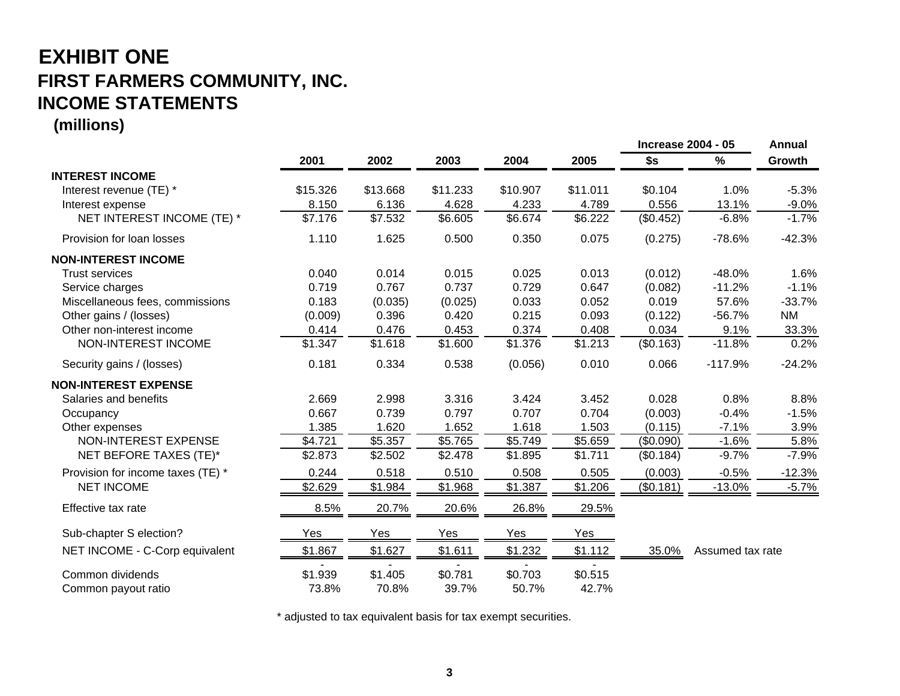# **EXHIBIT ONE FIRST FARMERS COMMUNITY, INC. INCOME STATEMENTS**

**(millions)**

|                                   |          |          |          |            |            | <b>Increase 2004 - 05</b> |                  | Annual    |
|-----------------------------------|----------|----------|----------|------------|------------|---------------------------|------------------|-----------|
|                                   | 2001     | 2002     | 2003     | 2004       | 2005       | \$s                       | %                | Growth    |
| <b>INTEREST INCOME</b>            |          |          |          |            |            |                           |                  |           |
| Interest revenue (TE) *           | \$15.326 | \$13.668 | \$11.233 | \$10.907   | \$11.011   | \$0.104                   | 1.0%             | $-5.3%$   |
| Interest expense                  | 8.150    | 6.136    | 4.628    | 4.233      | 4.789      | 0.556                     | 13.1%            | $-9.0%$   |
| NET INTEREST INCOME (TE) *        | \$7.176  | \$7.532  | \$6.605  | \$6.674    | \$6.222    | (\$0.452)                 | $-6.8%$          | $-1.7%$   |
| Provision for loan losses         | 1.110    | 1.625    | 0.500    | 0.350      | 0.075      | (0.275)                   | $-78.6%$         | $-42.3%$  |
| <b>NON-INTEREST INCOME</b>        |          |          |          |            |            |                           |                  |           |
| <b>Trust services</b>             | 0.040    | 0.014    | 0.015    | 0.025      | 0.013      | (0.012)                   | $-48.0%$         | 1.6%      |
| Service charges                   | 0.719    | 0.767    | 0.737    | 0.729      | 0.647      | (0.082)                   | $-11.2%$         | $-1.1%$   |
| Miscellaneous fees, commissions   | 0.183    | (0.035)  | (0.025)  | 0.033      | 0.052      | 0.019                     | 57.6%            | $-33.7%$  |
| Other gains / (losses)            | (0.009)  | 0.396    | 0.420    | 0.215      | 0.093      | (0.122)                   | $-56.7%$         | <b>NM</b> |
| Other non-interest income         | 0.414    | 0.476    | 0.453    | 0.374      | 0.408      | 0.034                     | 9.1%             | 33.3%     |
| NON-INTEREST INCOME               | \$1.347  | \$1.618  | \$1.600  | \$1.376    | \$1.213    | (\$0.163)                 | $-11.8%$         | 0.2%      |
| Security gains / (losses)         | 0.181    | 0.334    | 0.538    | (0.056)    | 0.010      | 0.066                     | $-117.9%$        | $-24.2%$  |
| <b>NON-INTEREST EXPENSE</b>       |          |          |          |            |            |                           |                  |           |
| Salaries and benefits             | 2.669    | 2.998    | 3.316    | 3.424      | 3.452      | 0.028                     | 0.8%             | 8.8%      |
| Occupancy                         | 0.667    | 0.739    | 0.797    | 0.707      | 0.704      | (0.003)                   | $-0.4%$          | $-1.5%$   |
| Other expenses                    | 1.385    | 1.620    | 1.652    | 1.618      | 1.503      | (0.115)                   | $-7.1%$          | 3.9%      |
| NON-INTEREST EXPENSE              | \$4.721  | \$5.357  | \$5.765  | \$5.749    | \$5.659    | (\$0.090)                 | $-1.6%$          | 5.8%      |
| NET BEFORE TAXES (TE)*            | \$2.873  | \$2.502  | \$2.478  | \$1.895    | \$1.711    | (\$0.184)                 | $-9.7%$          | $-7.9%$   |
| Provision for income taxes (TE) * | 0.244    | 0.518    | 0.510    | 0.508      | 0.505      | (0.003)                   | $-0.5%$          | $-12.3%$  |
| <b>NET INCOME</b>                 | \$2.629  | \$1.984  | \$1.968  | \$1.387    | \$1.206    | (\$0.181)                 | $-13.0%$         | $-5.7%$   |
| Effective tax rate                | 8.5%     | 20.7%    | 20.6%    | 26.8%      | 29.5%      |                           |                  |           |
| Sub-chapter S election?           | Yes      | Yes      | Yes      | <b>Yes</b> | <b>Yes</b> |                           |                  |           |
| NET INCOME - C-Corp equivalent    | \$1.867  | \$1.627  | \$1.611  | \$1.232    | \$1.112    | 35.0%                     | Assumed tax rate |           |
| Common dividends                  | \$1.939  | \$1.405  | \$0.781  | \$0.703    | \$0.515    |                           |                  |           |
| Common payout ratio               | 73.8%    | 70.8%    | 39.7%    | 50.7%      | 42.7%      |                           |                  |           |

\* adjusted to tax equivalent basis for tax exempt securities.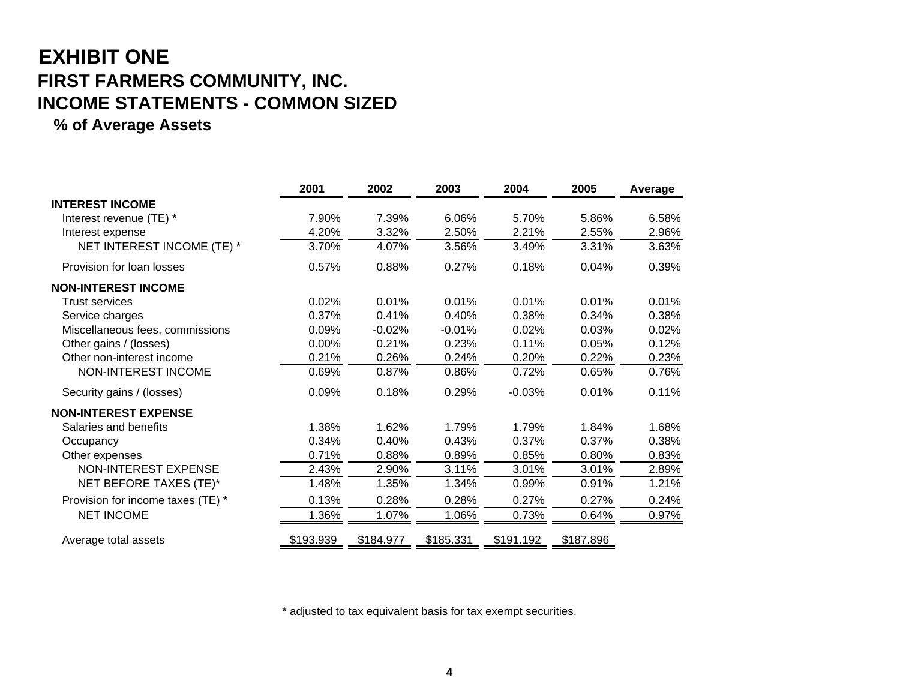## **EXHIBIT ONE FIRST FARMERS COMMUNITY, INC. INCOME STATEMENTS - COMMON SIZED**

#### **% of Average Assets**

|                                   | 2001      | 2002      | 2003      | 2004      | 2005      | Average |
|-----------------------------------|-----------|-----------|-----------|-----------|-----------|---------|
| <b>INTEREST INCOME</b>            |           |           |           |           |           |         |
| Interest revenue (TE) *           | 7.90%     | 7.39%     | 6.06%     | 5.70%     | 5.86%     | 6.58%   |
| Interest expense                  | 4.20%     | 3.32%     | 2.50%     | 2.21%     | 2.55%     | 2.96%   |
| NET INTEREST INCOME (TE) *        | 3.70%     | 4.07%     | 3.56%     | 3.49%     | 3.31%     | 3.63%   |
| Provision for loan losses         | 0.57%     | 0.88%     | 0.27%     | 0.18%     | 0.04%     | 0.39%   |
| <b>NON-INTEREST INCOME</b>        |           |           |           |           |           |         |
| <b>Trust services</b>             | 0.02%     | 0.01%     | 0.01%     | 0.01%     | 0.01%     | 0.01%   |
| Service charges                   | 0.37%     | 0.41%     | 0.40%     | 0.38%     | 0.34%     | 0.38%   |
| Miscellaneous fees, commissions   | 0.09%     | $-0.02%$  | $-0.01%$  | 0.02%     | 0.03%     | 0.02%   |
| Other gains / (losses)            | 0.00%     | 0.21%     | 0.23%     | 0.11%     | 0.05%     | 0.12%   |
| Other non-interest income         | 0.21%     | 0.26%     | 0.24%     | 0.20%     | 0.22%     | 0.23%   |
| <b>NON-INTEREST INCOME</b>        | 0.69%     | 0.87%     | 0.86%     | 0.72%     | 0.65%     | 0.76%   |
| Security gains / (losses)         | 0.09%     | 0.18%     | 0.29%     | $-0.03%$  | 0.01%     | 0.11%   |
| <b>NON-INTEREST EXPENSE</b>       |           |           |           |           |           |         |
| Salaries and benefits             | 1.38%     | 1.62%     | 1.79%     | 1.79%     | 1.84%     | 1.68%   |
| Occupancy                         | 0.34%     | 0.40%     | 0.43%     | 0.37%     | 0.37%     | 0.38%   |
| Other expenses                    | 0.71%     | 0.88%     | 0.89%     | 0.85%     | 0.80%     | 0.83%   |
| NON-INTEREST EXPENSE              | 2.43%     | 2.90%     | 3.11%     | 3.01%     | 3.01%     | 2.89%   |
| NET BEFORE TAXES (TE)*            | 1.48%     | 1.35%     | 1.34%     | 0.99%     | 0.91%     | 1.21%   |
| Provision for income taxes (TE) * | 0.13%     | 0.28%     | 0.28%     | 0.27%     | 0.27%     | 0.24%   |
| <b>NET INCOME</b>                 | 1.36%     | 1.07%     | 1.06%     | 0.73%     | 0.64%     | 0.97%   |
| Average total assets              | \$193.939 | \$184.977 | \$185.331 | \$191.192 | \$187.896 |         |

\* adjusted to tax equivalent basis for tax exempt securities.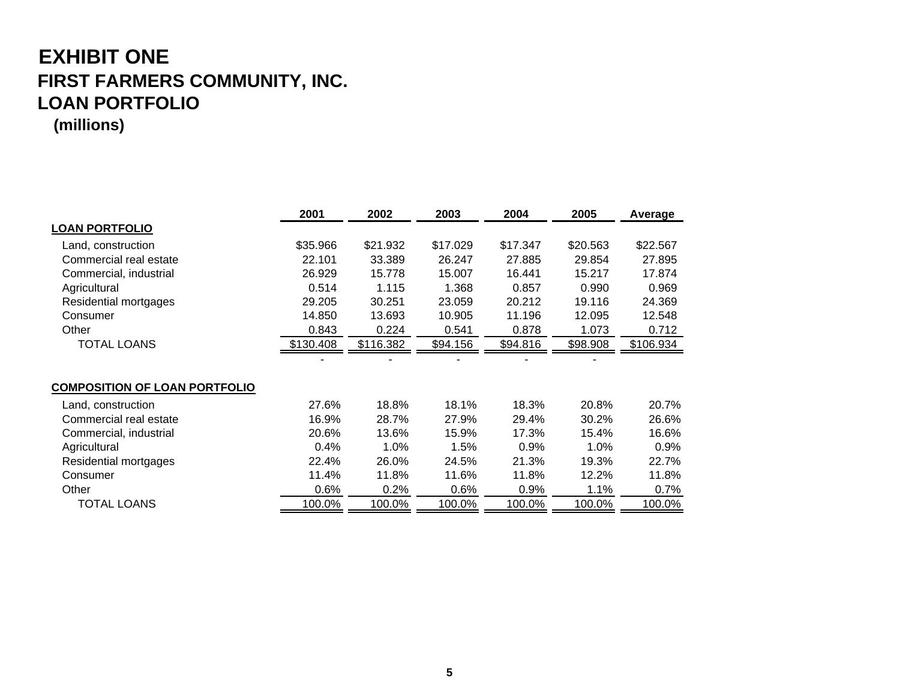### **EXHIBIT ONE FIRST FARMERS COMMUNITY, INC. LOAN PORTFOLIO (millions)**

|                                      | 2001      | 2002      | 2003     | 2004     | 2005     | Average   |
|--------------------------------------|-----------|-----------|----------|----------|----------|-----------|
| <b>LOAN PORTFOLIO</b>                |           |           |          |          |          |           |
| Land, construction                   | \$35.966  | \$21.932  | \$17.029 | \$17.347 | \$20.563 | \$22.567  |
| Commercial real estate               | 22.101    | 33.389    | 26.247   | 27.885   | 29.854   | 27.895    |
| Commercial, industrial               | 26.929    | 15.778    | 15.007   | 16.441   | 15.217   | 17.874    |
| Agricultural                         | 0.514     | 1.115     | 1.368    | 0.857    | 0.990    | 0.969     |
| Residential mortgages                | 29.205    | 30.251    | 23.059   | 20.212   | 19.116   | 24.369    |
| Consumer                             | 14.850    | 13.693    | 10.905   | 11.196   | 12.095   | 12.548    |
| Other                                | 0.843     | 0.224     | 0.541    | 0.878    | 1.073    | 0.712     |
| <b>TOTAL LOANS</b>                   | \$130.408 | \$116.382 | \$94.156 | \$94.816 | \$98.908 | \$106.934 |
|                                      |           |           |          |          |          |           |
| <b>COMPOSITION OF LOAN PORTFOLIO</b> |           |           |          |          |          |           |
| Land, construction                   | 27.6%     | 18.8%     | 18.1%    | 18.3%    | 20.8%    | 20.7%     |
| Commercial real estate               | 16.9%     | 28.7%     | 27.9%    | 29.4%    | 30.2%    | 26.6%     |
| Commercial, industrial               | 20.6%     | 13.6%     | 15.9%    | 17.3%    | 15.4%    | 16.6%     |
| Agricultural                         | 0.4%      | 1.0%      | 1.5%     | 0.9%     | 1.0%     | 0.9%      |
| Residential mortgages                | 22.4%     | 26.0%     | 24.5%    | 21.3%    | 19.3%    | 22.7%     |
| Consumer                             | 11.4%     | 11.8%     | 11.6%    | 11.8%    | 12.2%    | 11.8%     |
| Other                                | 0.6%      | 0.2%      | $0.6\%$  | 0.9%     | 1.1%     | 0.7%      |
| <b>TOTAL LOANS</b>                   | 100.0%    | 100.0%    | 100.0%   | 100.0%   | 100.0%   | 100.0%    |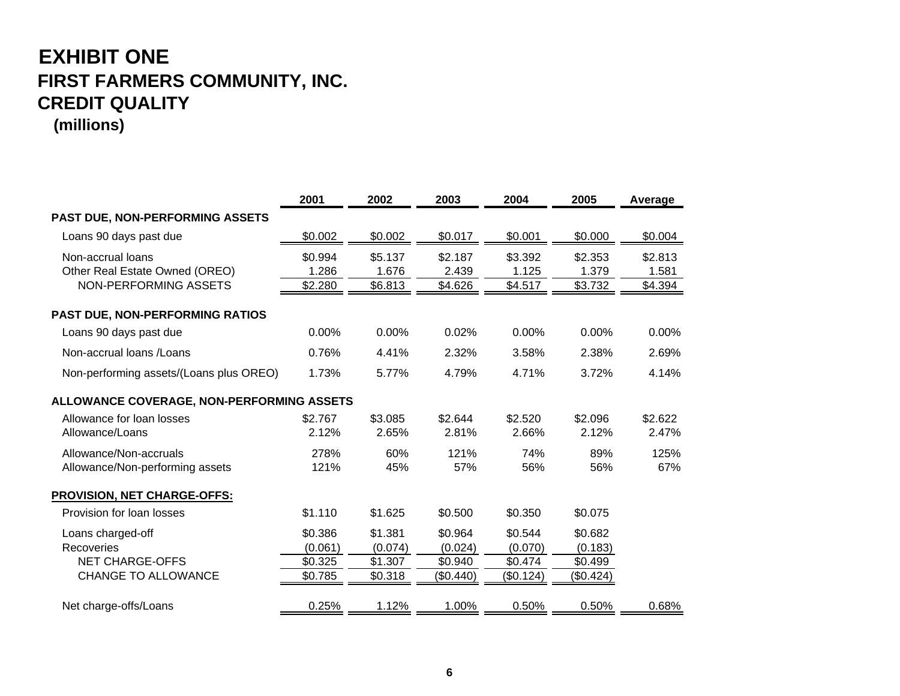## **EXHIBIT ONE FIRST FARMERS COMMUNITY, INC. CREDIT QUALITY**

#### **(millions)**

|                                                           | 2001               | 2002               | 2003               | 2004               | 2005               | Average          |
|-----------------------------------------------------------|--------------------|--------------------|--------------------|--------------------|--------------------|------------------|
| PAST DUE, NON-PERFORMING ASSETS                           |                    |                    |                    |                    |                    |                  |
| Loans 90 days past due                                    | \$0.002            | \$0.002            | \$0.017            | \$0.001            | \$0.000            | \$0.004          |
| Non-accrual loans<br>Other Real Estate Owned (OREO)       | \$0.994<br>1.286   | \$5.137<br>1.676   | \$2.187<br>2.439   | \$3.392<br>1.125   | \$2.353<br>1.379   | \$2.813<br>1.581 |
| NON-PERFORMING ASSETS                                     | \$2.280            | \$6.813            | \$4.626            | \$4.517            | \$3.732            | \$4.394          |
| PAST DUE, NON-PERFORMING RATIOS                           |                    |                    |                    |                    |                    |                  |
| Loans 90 days past due                                    | 0.00%              | 0.00%              | 0.02%              | 0.00%              | 0.00%              | 0.00%            |
| Non-accrual loans / Loans                                 | 0.76%              | 4.41%              | 2.32%              | 3.58%              | 2.38%              | 2.69%            |
| Non-performing assets/(Loans plus OREO)                   | 1.73%              | 5.77%              | 4.79%              | 4.71%              | 3.72%              | 4.14%            |
| <b>ALLOWANCE COVERAGE, NON-PERFORMING ASSETS</b>          |                    |                    |                    |                    |                    |                  |
| Allowance for loan losses<br>Allowance/Loans              | \$2.767<br>2.12%   | \$3.085<br>2.65%   | \$2.644<br>2.81%   | \$2.520<br>2.66%   | \$2.096<br>2.12%   | \$2.622<br>2.47% |
| Allowance/Non-accruals<br>Allowance/Non-performing assets | 278%<br>121%       | 60%<br>45%         | 121%<br>57%        | 74%<br>56%         | 89%<br>56%         | 125%<br>67%      |
| <b>PROVISION, NET CHARGE-OFFS:</b>                        |                    |                    |                    |                    |                    |                  |
| Provision for loan losses                                 | \$1.110            | \$1.625            | \$0.500            | \$0.350            | \$0.075            |                  |
| Loans charged-off<br>Recoveries                           | \$0.386<br>(0.061) | \$1.381<br>(0.074) | \$0.964<br>(0.024) | \$0.544<br>(0.070) | \$0.682<br>(0.183) |                  |
| <b>NET CHARGE-OFFS</b>                                    | \$0.325            | \$1.307            | \$0.940            | \$0.474            | \$0.499            |                  |
| <b>CHANGE TO ALLOWANCE</b>                                | \$0.785            | \$0.318            | (\$0.440)          | (\$0.124)          | (\$0.424)          |                  |
| Net charge-offs/Loans                                     | 0.25%              | 1.12%              | 1.00%              | 0.50%              | 0.50%              | 0.68%            |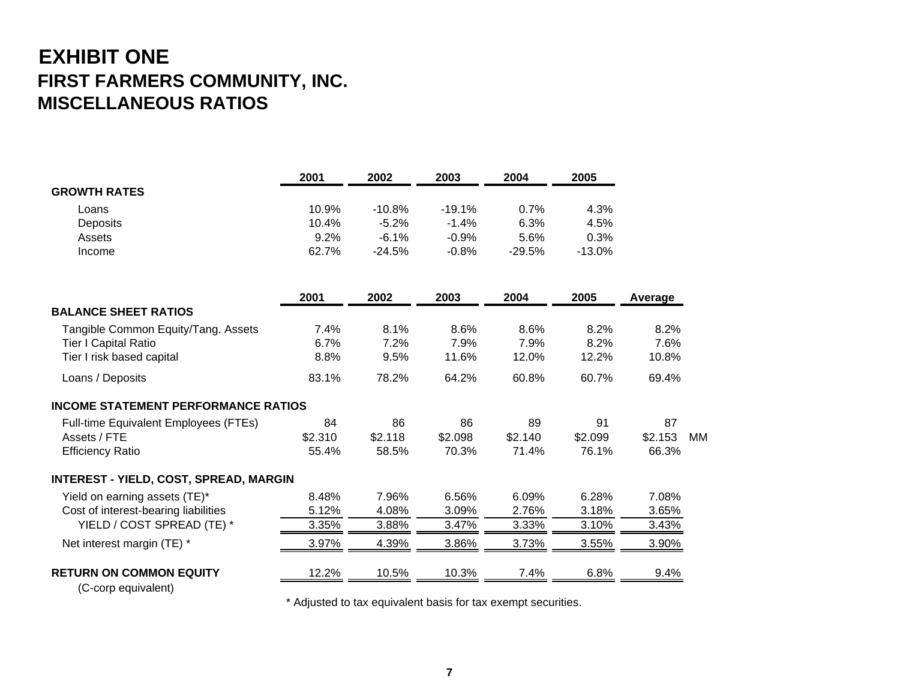## **EXHIBIT ONE FIRST FARMERS COMMUNITY, INC. MISCELLANEOUS RATIOS**

|                                               | 2001    | 2002     | 2003     | 2004     | 2005     |         |           |
|-----------------------------------------------|---------|----------|----------|----------|----------|---------|-----------|
| <b>GROWTH RATES</b>                           |         |          |          |          |          |         |           |
| Loans                                         | 10.9%   | $-10.8%$ | $-19.1%$ | 0.7%     | 4.3%     |         |           |
| Deposits                                      | 10.4%   | $-5.2%$  | $-1.4%$  | 6.3%     | 4.5%     |         |           |
| Assets                                        | 9.2%    | $-6.1%$  | $-0.9%$  | 5.6%     | 0.3%     |         |           |
| Income                                        | 62.7%   | $-24.5%$ | $-0.8%$  | $-29.5%$ | $-13.0%$ |         |           |
|                                               | 2001    | 2002     | 2003     | 2004     | 2005     | Average |           |
| <b>BALANCE SHEET RATIOS</b>                   |         |          |          |          |          |         |           |
| Tangible Common Equity/Tang. Assets           | 7.4%    | 8.1%     | 8.6%     | 8.6%     | 8.2%     | 8.2%    |           |
| <b>Tier I Capital Ratio</b>                   | 6.7%    | 7.2%     | 7.9%     | 7.9%     | 8.2%     | 7.6%    |           |
| Tier I risk based capital                     | 8.8%    | 9.5%     | 11.6%    | 12.0%    | 12.2%    | 10.8%   |           |
| Loans / Deposits                              | 83.1%   | 78.2%    | 64.2%    | 60.8%    | 60.7%    | 69.4%   |           |
| <b>INCOME STATEMENT PERFORMANCE RATIOS</b>    |         |          |          |          |          |         |           |
| Full-time Equivalent Employees (FTEs)         | 84      | 86       | 86       | 89       | 91       | 87      |           |
| Assets / FTE                                  | \$2.310 | \$2.118  | \$2.098  | \$2.140  | \$2.099  | \$2.153 | <b>MM</b> |
| <b>Efficiency Ratio</b>                       | 55.4%   | 58.5%    | 70.3%    | 71.4%    | 76.1%    | 66.3%   |           |
| <b>INTEREST - YIELD, COST, SPREAD, MARGIN</b> |         |          |          |          |          |         |           |
| Yield on earning assets (TE)*                 | 8.48%   | 7.96%    | 6.56%    | 6.09%    | 6.28%    | 7.08%   |           |
| Cost of interest-bearing liabilities          | 5.12%   | 4.08%    | 3.09%    | 2.76%    | 3.18%    | 3.65%   |           |
| YIELD / COST SPREAD (TE) *                    | 3.35%   | 3.88%    | 3.47%    | 3.33%    | 3.10%    | 3.43%   |           |
| Net interest margin (TE) *                    | 3.97%   | 4.39%    | 3.86%    | 3.73%    | 3.55%    | 3.90%   |           |
| <b>RETURN ON COMMON EQUITY</b>                | 12.2%   | 10.5%    | 10.3%    | 7.4%     | 6.8%     | 9.4%    |           |

(C-corp equivalent)

\* Adjusted to tax equivalent basis for tax exempt securities.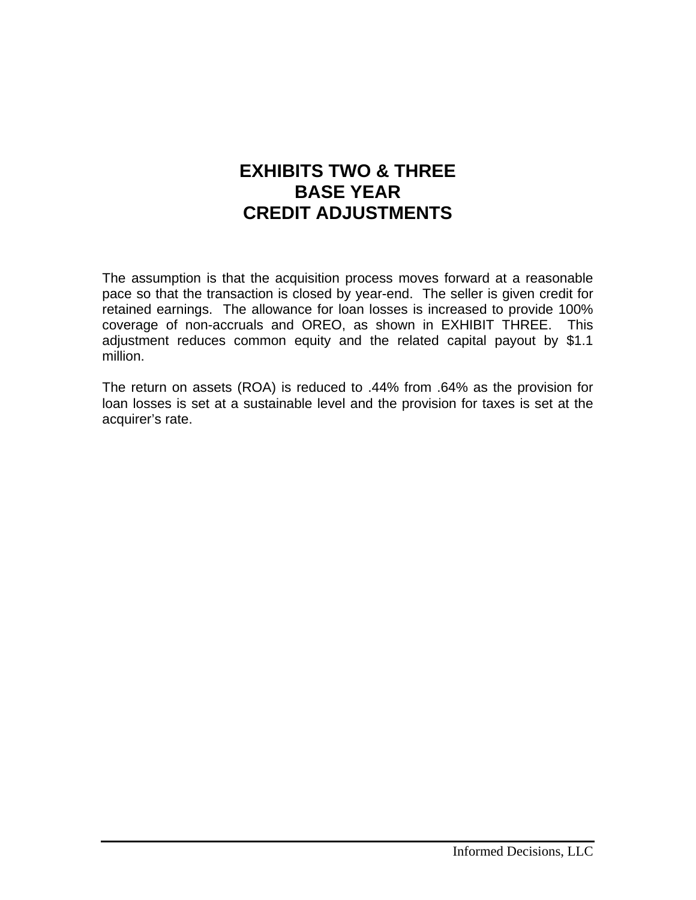#### **EXHIBITS TWO & THREE BASE YEAR CREDIT ADJUSTMENTS**

The assumption is that the acquisition process moves forward at a reasonable pace so that the transaction is closed by year-end. The seller is given credit for retained earnings. The allowance for loan losses is increased to provide 100% coverage of non-accruals and OREO, as shown in EXHIBIT THREE. This adjustment reduces common equity and the related capital payout by \$1.1 million.

The return on assets (ROA) is reduced to .44% from .64% as the provision for loan losses is set at a sustainable level and the provision for taxes is set at the acquirer's rate.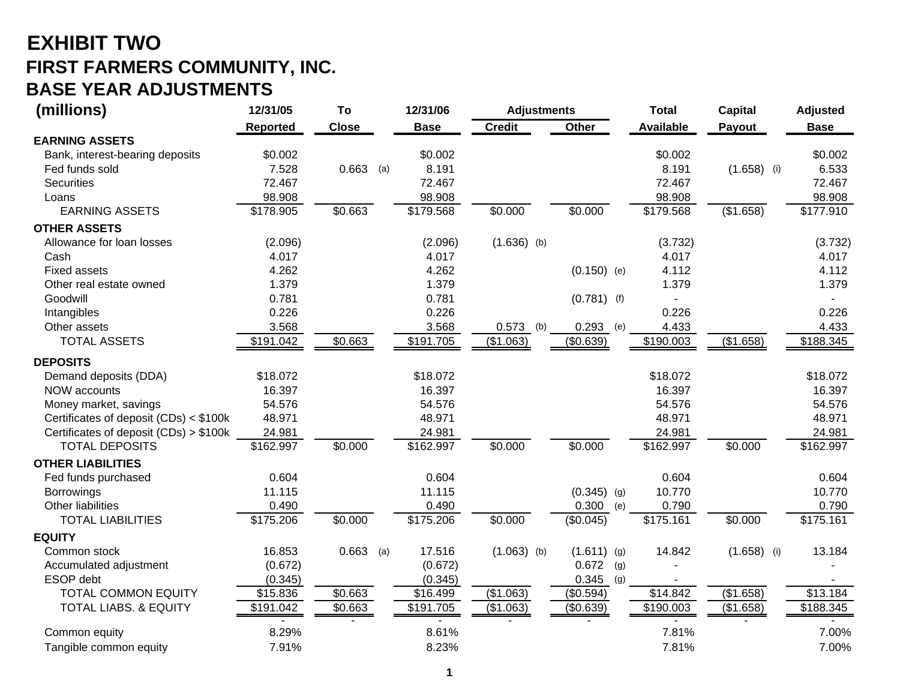## **EXHIBIT TWO FIRST FARMERS COMMUNITY, INC. BASE YEAR ADJUSTMENTS**

| (millions)                             | 12/31/05  | To           | 12/31/06<br><b>Adjustments</b> |                          | <b>Total</b>  | <b>Capital</b>   | <b>Adjusted</b> |             |
|----------------------------------------|-----------|--------------|--------------------------------|--------------------------|---------------|------------------|-----------------|-------------|
|                                        | Reported  | <b>Close</b> | <b>Base</b>                    | <b>Credit</b>            | Other         | <b>Available</b> | Payout          | <b>Base</b> |
| <b>EARNING ASSETS</b>                  |           |              |                                |                          |               |                  |                 |             |
| Bank, interest-bearing deposits        | \$0.002   |              | \$0.002                        |                          |               | \$0.002          |                 | \$0.002     |
| Fed funds sold                         | 7.528     | $0.663$ (a)  | 8.191                          |                          |               | 8.191            | $(1.658)$ (i)   | 6.533       |
| <b>Securities</b>                      | 72.467    |              | 72.467                         |                          |               | 72.467           |                 | 72.467      |
| Loans                                  | 98.908    |              | 98.908                         |                          |               | 98.908           |                 | 98.908      |
| <b>EARNING ASSETS</b>                  | \$178.905 | \$0.663      | \$179.568                      | \$0.000                  | \$0.000       | \$179.568        | (\$1.658)       | \$177.910   |
| <b>OTHER ASSETS</b>                    |           |              |                                |                          |               |                  |                 |             |
| Allowance for loan losses              | (2.096)   |              |                                | (2.096)<br>$(1.636)$ (b) |               | (3.732)          |                 | (3.732)     |
| Cash                                   | 4.017     |              |                                | 4.017                    |               | 4.017            |                 | 4.017       |
| <b>Fixed assets</b>                    | 4.262     |              |                                | 4.262                    | $(0.150)$ (e) | 4.112            |                 | 4.112       |
| Other real estate owned                | 1.379     |              |                                | 1.379                    |               | 1.379            |                 | 1.379       |
| Goodwill                               | 0.781     |              | 0.781                          |                          | $(0.781)$ (f) |                  |                 |             |
| Intangibles                            | 0.226     |              |                                | 0.226                    |               | 0.226            |                 | 0.226       |
| Other assets                           | 3.568     |              |                                | 3.568<br>0.573           | 0.293<br>(b)  | 4.433<br>(e)     |                 | 4.433       |
| <b>TOTAL ASSETS</b>                    | \$191.042 | \$0.663      | \$191.705                      | (\$1.063)                | (\$0.639)     | \$190.003        | (\$1.658)       | \$188.345   |
| <b>DEPOSITS</b>                        |           |              |                                |                          |               |                  |                 |             |
| Demand deposits (DDA)                  | \$18.072  |              | \$18.072                       |                          |               | \$18.072         |                 | \$18.072    |
| NOW accounts                           | 16.397    |              | 16.397                         |                          |               | 16.397           |                 | 16.397      |
| Money market, savings                  | 54.576    |              | 54.576                         |                          |               | 54.576           |                 | 54.576      |
| Certificates of deposit (CDs) < \$100k | 48.971    |              | 48.971                         |                          |               | 48.971           |                 | 48.971      |
| Certificates of deposit (CDs) > \$100k | 24.981    |              | 24.981                         |                          |               | 24.981           |                 | 24.981      |
| <b>TOTAL DEPOSITS</b>                  | \$162.997 | \$0.000      | \$162.997                      | \$0.000                  | \$0.000       | \$162.997        | \$0.000         | \$162.997   |
| <b>OTHER LIABILITIES</b>               |           |              |                                |                          |               |                  |                 |             |
| Fed funds purchased                    | 0.604     |              |                                | 0.604                    |               | 0.604            |                 | 0.604       |
| <b>Borrowings</b>                      | 11.115    |              | 11.115                         |                          | $(0.345)$ (g) | 10.770           |                 | 10.770      |
| Other liabilities                      | 0.490     |              |                                | 0.490                    | 0.300         | 0.790<br>(e)     |                 | 0.790       |
| <b>TOTAL LIABILITIES</b>               | \$175.206 | \$0.000      | \$175.206                      | \$0.000                  | (\$0.045)     | \$175.161        | \$0.000         | \$175.161   |
| <b>EQUITY</b>                          |           |              |                                |                          |               |                  |                 |             |
| Common stock                           | 16.853    | $0.663$ (a)  | 17.516                         | $(1.063)$ (b)            | $(1.611)$ (g) | 14.842           | $(1.658)$ (i)   | 13.184      |
| Accumulated adjustment                 | (0.672)   |              |                                | (0.672)                  | 0.672         | (g)              |                 |             |
| ESOP debt                              | (0.345)   |              |                                | (0.345)                  | 0.345         | (g)              |                 |             |
| <b>TOTAL COMMON EQUITY</b>             | \$15.836  | \$0.663      | \$16.499                       | (\$1.063)                | (\$0.594)     | $\sqrt{$14.842}$ | (\$1.658)       | \$13.184    |
| <b>TOTAL LIABS. &amp; EQUITY</b>       | \$191.042 | \$0.663      | \$191.705                      | (\$1.063)                | (\$0.639)     | \$190.003        | (\$1.658)       | \$188.345   |
| Common equity                          | 8.29%     |              |                                | 8.61%                    |               | 7.81%            |                 | 7.00%       |
| Tangible common equity                 | 7.91%     |              |                                | 8.23%                    |               | 7.81%            |                 | 7.00%       |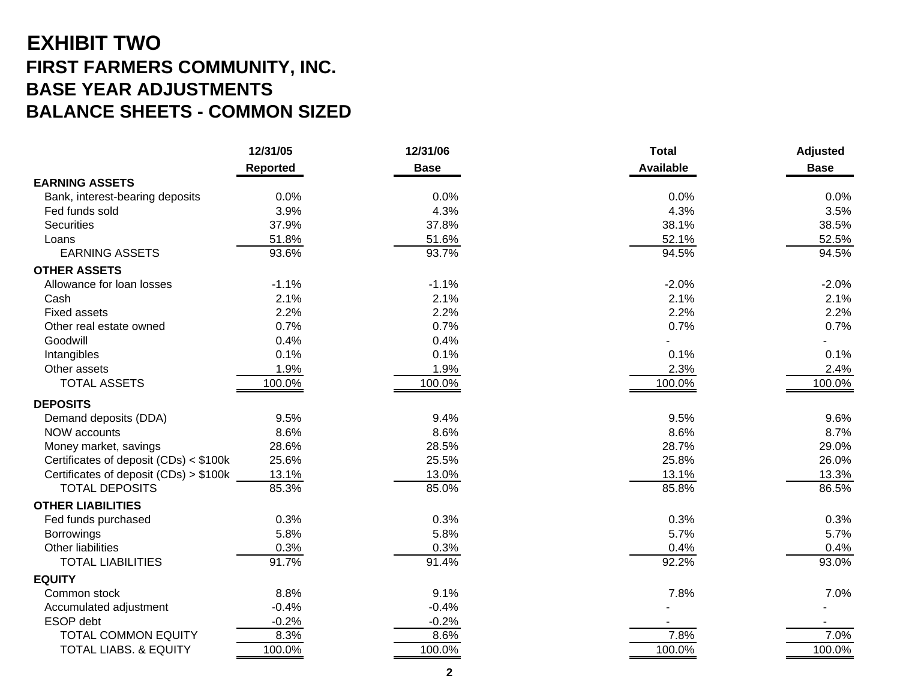## **EXHIBIT TWO FIRST FARMERS COMMUNITY, INC. BASE YEAR ADJUSTMENTS BALANCE SHEETS - COMMON SIZED**

|                                        | 12/31/05        | 12/31/06    | <b>Total</b>     | <b>Adjusted</b> |
|----------------------------------------|-----------------|-------------|------------------|-----------------|
|                                        | <b>Reported</b> | <b>Base</b> | <b>Available</b> | <b>Base</b>     |
| <b>EARNING ASSETS</b>                  |                 |             |                  |                 |
| Bank, interest-bearing deposits        | 0.0%            | 0.0%        | 0.0%             | 0.0%            |
| Fed funds sold                         | 3.9%            | 4.3%        | 4.3%             | 3.5%            |
| Securities                             | 37.9%           | 37.8%       | 38.1%            | 38.5%           |
| Loans                                  | 51.8%           | 51.6%       | 52.1%            | 52.5%           |
| <b>EARNING ASSETS</b>                  | 93.6%           | 93.7%       | 94.5%            | 94.5%           |
| <b>OTHER ASSETS</b>                    |                 |             |                  |                 |
| Allowance for loan losses              | $-1.1%$         | $-1.1%$     | $-2.0%$          | $-2.0%$         |
| Cash                                   | 2.1%            | 2.1%        | 2.1%             | 2.1%            |
| <b>Fixed assets</b>                    | 2.2%            | 2.2%        | 2.2%             | 2.2%            |
| Other real estate owned                | 0.7%            | 0.7%        | 0.7%             | 0.7%            |
| Goodwill                               | 0.4%            | 0.4%        |                  |                 |
| Intangibles                            | 0.1%            | 0.1%        | 0.1%             | 0.1%            |
| Other assets                           | 1.9%            | 1.9%        | 2.3%             | 2.4%            |
| <b>TOTAL ASSETS</b>                    | 100.0%          | 100.0%      | 100.0%           | 100.0%          |
| <b>DEPOSITS</b>                        |                 |             |                  |                 |
| Demand deposits (DDA)                  | 9.5%            | 9.4%        | 9.5%             | 9.6%            |
| <b>NOW accounts</b>                    | 8.6%            | 8.6%        | 8.6%             | 8.7%            |
| Money market, savings                  | 28.6%           | 28.5%       | 28.7%            | 29.0%           |
| Certificates of deposit (CDs) < \$100k | 25.6%           | 25.5%       | 25.8%            | 26.0%           |
| Certificates of deposit (CDs) > \$100k | 13.1%           | 13.0%       | 13.1%            | 13.3%           |
| <b>TOTAL DEPOSITS</b>                  | 85.3%           | 85.0%       | 85.8%            | 86.5%           |
| <b>OTHER LIABILITIES</b>               |                 |             |                  |                 |
| Fed funds purchased                    | 0.3%            | 0.3%        | 0.3%             | 0.3%            |
| <b>Borrowings</b>                      | 5.8%            | 5.8%        | 5.7%             | 5.7%            |
| Other liabilities                      | 0.3%            | 0.3%        | 0.4%             | 0.4%            |
| <b>TOTAL LIABILITIES</b>               | 91.7%           | 91.4%       | 92.2%            | 93.0%           |
| <b>EQUITY</b>                          |                 |             |                  |                 |
| Common stock                           | 8.8%            | 9.1%        | 7.8%             | 7.0%            |
| Accumulated adjustment                 | $-0.4%$         | $-0.4%$     |                  |                 |
| ESOP debt                              | $-0.2%$         | $-0.2%$     |                  |                 |
| <b>TOTAL COMMON EQUITY</b>             | 8.3%            | 8.6%        | 7.8%             | 7.0%            |
| <b>TOTAL LIABS. &amp; EQUITY</b>       | 100.0%          | 100.0%      | 100.0%           | 100.0%          |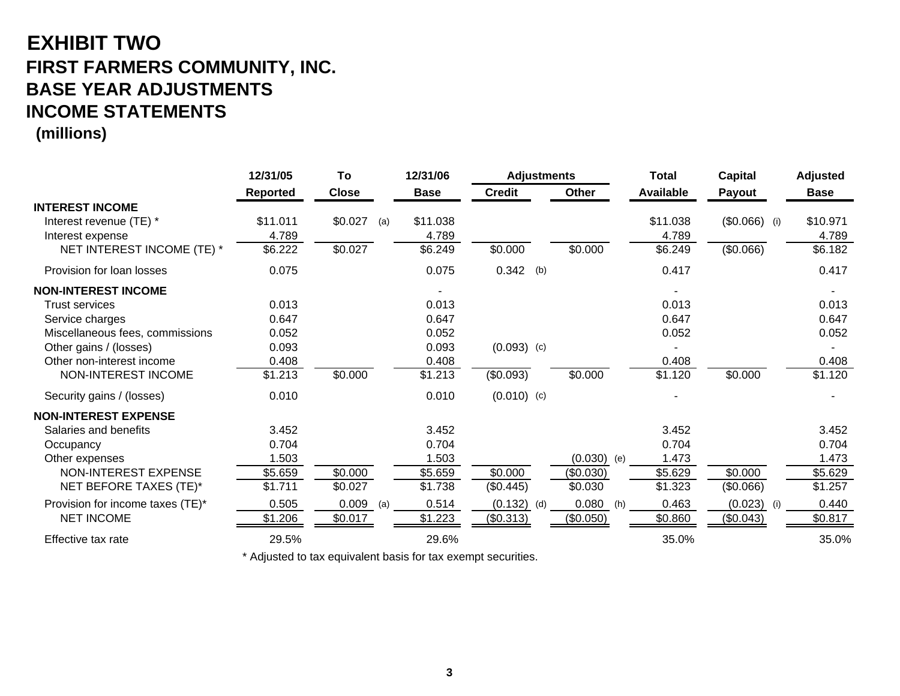## **EXHIBIT TWO FIRST FARMERS COMMUNITY, INC. BASE YEAR ADJUSTMENTS INCOME STATEMENTS**

**(millions)**

|                                                   | 12/31/05        | To             | 12/31/06    | <b>Adjustments</b> |     |               | <b>Total</b>     | <b>Capital</b> | <b>Adjusted</b> |
|---------------------------------------------------|-----------------|----------------|-------------|--------------------|-----|---------------|------------------|----------------|-----------------|
|                                                   | <b>Reported</b> | <b>Close</b>   | <b>Base</b> | <b>Credit</b>      |     | <b>Other</b>  | <b>Available</b> | Payout         | <b>Base</b>     |
| <b>INTEREST INCOME</b><br>Interest revenue (TE) * | \$11.011        | \$0.027<br>(a) | \$11.038    |                    |     |               | \$11.038         | $($0.066)$ (i) | \$10.971        |
| Interest expense                                  | 4.789           |                | 4.789       |                    |     |               | 4.789            |                | 4.789           |
| NET INTEREST INCOME (TE) *                        | \$6.222         | \$0.027        | \$6.249     | \$0.000            |     | \$0.000       | \$6.249          | (\$0.066)      | \$6.182         |
| Provision for loan losses                         | 0.075           |                | 0.075       | 0.342              | (b) |               | 0.417            |                | 0.417           |
| <b>NON-INTEREST INCOME</b>                        |                 |                |             |                    |     |               |                  |                |                 |
| <b>Trust services</b>                             | 0.013           |                | 0.013       |                    |     |               | 0.013            |                | 0.013           |
| Service charges                                   | 0.647           |                | 0.647       |                    |     |               | 0.647            |                | 0.647           |
| Miscellaneous fees, commissions                   | 0.052           |                | 0.052       |                    |     |               | 0.052            |                | 0.052           |
| Other gains / (losses)                            | 0.093           |                | 0.093       | $(0.093)$ (c)      |     |               |                  |                |                 |
| Other non-interest income                         | 0.408           |                | 0.408       |                    |     |               | 0.408            |                | 0.408           |
| NON-INTEREST INCOME                               | \$1.213         | \$0.000        | \$1.213     | (\$0.093)          |     | \$0.000       | \$1.120          | \$0.000        | \$1.120         |
| Security gains / (losses)                         | 0.010           |                | 0.010       | $(0.010)$ (c)      |     |               |                  |                |                 |
| <b>NON-INTEREST EXPENSE</b>                       |                 |                |             |                    |     |               |                  |                |                 |
| Salaries and benefits                             | 3.452           |                | 3.452       |                    |     |               | 3.452            |                | 3.452           |
| Occupancy                                         | 0.704           |                | 0.704       |                    |     |               | 0.704            |                | 0.704           |
| Other expenses                                    | 1.503           |                | 1.503       |                    |     | $(0.030)$ (e) | 1.473            |                | 1.473           |
| NON-INTEREST EXPENSE                              | \$5.659         | \$0.000        | \$5.659     | \$0.000            |     | (\$0.030)     | \$5.629          | \$0.000        | \$5.629         |
| NET BEFORE TAXES (TE)*                            | \$1.711         | \$0.027        | \$1.738     | (\$0.445)          |     | \$0.030       | \$1.323          | (\$0.066)      | \$1.257         |
| Provision for income taxes (TE)*                  | 0.505           | 0.009<br>(a)   | 0.514       | (0.132)            | (d) | 0.080<br>(h)  | 0.463            | (0.023)<br>(i) | 0.440           |
| <b>NET INCOME</b>                                 | \$1.206         | \$0.017        | \$1.223     | (\$0.313)          |     | (\$0.050)     | \$0.860          | (\$0.043)      | \$0.817         |
| Effective tax rate                                | 29.5%           |                | 29.6%       |                    |     |               | 35.0%            |                | 35.0%           |

\* Adjusted to tax equivalent basis for tax exempt securities.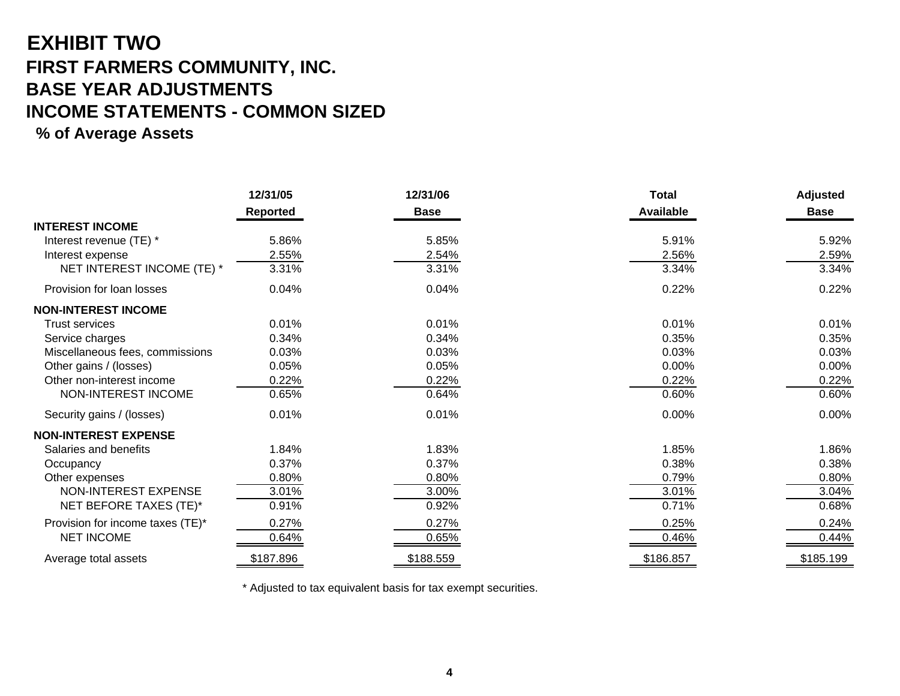## **EXHIBIT TWO FIRST FARMERS COMMUNITY, INC. BASE YEAR ADJUSTMENTS INCOME STATEMENTS - COMMON SIZED**

#### **% of Average Assets**

|                                  | 12/31/05<br>12/31/06 |             | <b>Total</b>     | <b>Adjusted</b> |
|----------------------------------|----------------------|-------------|------------------|-----------------|
|                                  | Reported             | <b>Base</b> | <b>Available</b> | <b>Base</b>     |
| <b>INTEREST INCOME</b>           |                      |             |                  |                 |
| Interest revenue (TE) *          | 5.86%                | 5.85%       | 5.91%            | 5.92%           |
| Interest expense                 | 2.55%                | 2.54%       | 2.56%            | 2.59%           |
| NET INTEREST INCOME (TE) *       | 3.31%                | 3.31%       | 3.34%            | 3.34%           |
| Provision for loan losses        | 0.04%                | 0.04%       | 0.22%            | 0.22%           |
| <b>NON-INTEREST INCOME</b>       |                      |             |                  |                 |
| <b>Trust services</b>            | 0.01%                | 0.01%       | 0.01%            | 0.01%           |
| Service charges                  | 0.34%                | 0.34%       | 0.35%            | 0.35%           |
| Miscellaneous fees, commissions  | 0.03%                | 0.03%       | 0.03%            | 0.03%           |
| Other gains / (losses)           | 0.05%                | 0.05%       | 0.00%            | 0.00%           |
| Other non-interest income        | 0.22%                | 0.22%       | 0.22%            | 0.22%           |
| NON-INTEREST INCOME              | 0.65%                | 0.64%       | 0.60%            | 0.60%           |
| Security gains / (losses)        | 0.01%                | 0.01%       | 0.00%            | 0.00%           |
| <b>NON-INTEREST EXPENSE</b>      |                      |             |                  |                 |
| Salaries and benefits            | 1.84%                | 1.83%       | 1.85%            | 1.86%           |
| Occupancy                        | 0.37%                | 0.37%       | 0.38%            | 0.38%           |
| Other expenses                   | 0.80%                | 0.80%       | 0.79%            | 0.80%           |
| NON-INTEREST EXPENSE             | 3.01%                | 3.00%       | 3.01%            | 3.04%           |
| NET BEFORE TAXES (TE)*           | 0.91%                | 0.92%       | 0.71%            | 0.68%           |
| Provision for income taxes (TE)* | 0.27%                | 0.27%       | 0.25%            | 0.24%           |
| <b>NET INCOME</b>                | 0.64%                | 0.65%       | 0.46%            | 0.44%           |
| Average total assets             | \$187.896            | \$188.559   | \$186.857        | \$185.199       |

\* Adjusted to tax equivalent basis for tax exempt securities.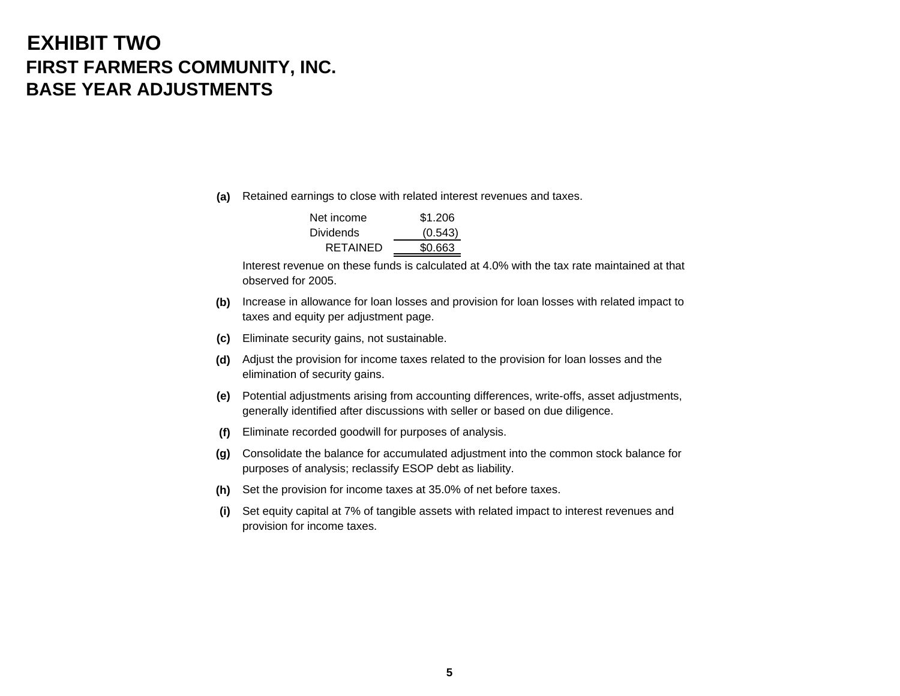## **EXHIBIT TWOFIRST FARMERS COMMUNITY, INC. BASE YEAR ADJUSTMENTS**

**(a)** Retained earnings to close with related interest revenues and taxes.

| Net income       | \$1.206 |
|------------------|---------|
| <b>Dividends</b> | (0.543) |
| RETAINED         | \$0.663 |

Interest revenue on these funds is calculated at 4.0% with the tax rate maintained at thatobserved for 2005.

- **(b)** Increase in allowance for loan losses and provision for loan losses with related impact to taxes and equity per adjustment page.
- **(c)** Eliminate security gains, not sustainable.
- **(d)** Adjust the provision for income taxes related to the provision for loan losses and the elimination of security gains.
- **(e)** Potential adjustments arising from accounting differences, write-offs, asset adjustments, generally identified after discussions with seller or based on due diligence.
- **(f)** Eliminate recorded goodwill for purposes of analysis.
- **(g)** Consolidate the balance for accumulated adjustment into the common stock balance for purposes of analysis; reclassify ESOP debt as liability.
- **(h)** Set the provision for income taxes at 35.0% of net before taxes.
- **(i)** Set equity capital at 7% of tangible assets with related impact to interest revenues and provision for income taxes.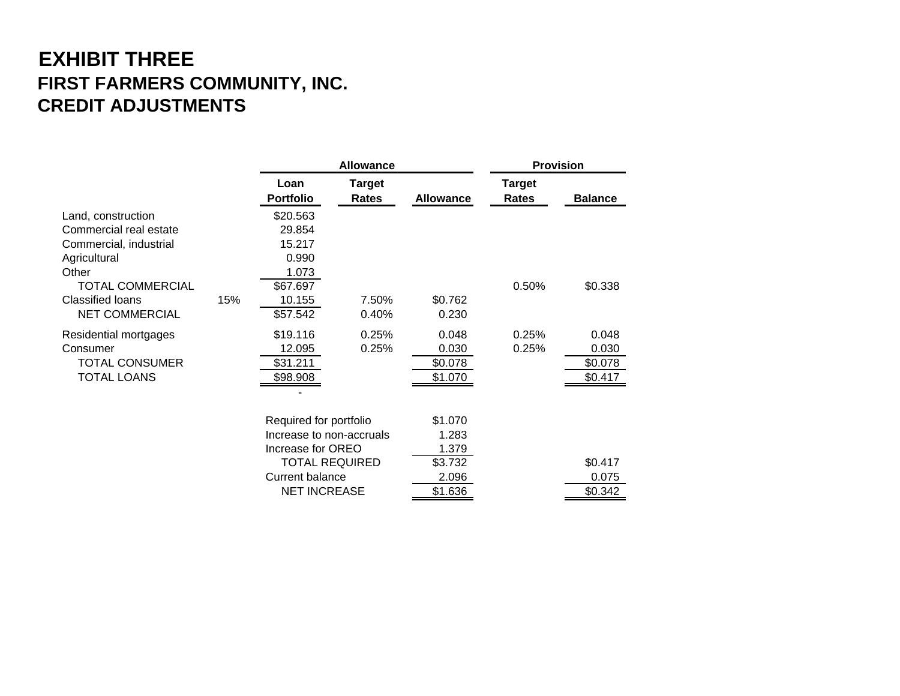## **EXHIBIT THREE FIRST FARMERS COMMUNITY, INC. CREDIT ADJUSTMENTS**

|                                                                                                 |     |                                                                                                                                            | <b>Allowance</b>       |                                                          |                               | <b>Provision</b>                     |
|-------------------------------------------------------------------------------------------------|-----|--------------------------------------------------------------------------------------------------------------------------------------------|------------------------|----------------------------------------------------------|-------------------------------|--------------------------------------|
|                                                                                                 |     | Loan<br><b>Portfolio</b>                                                                                                                   | <b>Target</b><br>Rates | <b>Allowance</b>                                         | <b>Target</b><br><b>Rates</b> | <b>Balance</b>                       |
| Land, construction<br>Commercial real estate<br>Commercial, industrial<br>Agricultural<br>Other |     | \$20.563<br>29.854<br>15.217<br>0.990<br>1.073                                                                                             |                        |                                                          |                               |                                      |
| <b>TOTAL COMMERCIAL</b><br><b>Classified loans</b><br><b>NET COMMERCIAL</b>                     | 15% | \$67.697<br>10.155<br>\$57.542                                                                                                             | 7.50%<br>0.40%         | \$0.762<br>0.230                                         | 0.50%                         | \$0.338                              |
| Residential mortgages<br>Consumer<br><b>TOTAL CONSUMER</b><br><b>TOTAL LOANS</b>                |     | \$19.116<br>12.095<br>\$31.211<br>\$98.908                                                                                                 | 0.25%<br>0.25%         | 0.048<br>0.030<br>\$0.078<br>\$1.070                     | 0.25%<br>0.25%                | 0.048<br>0.030<br>\$0.078<br>\$0.417 |
|                                                                                                 |     | Required for portfolio<br>Increase to non-accruals<br>Increase for OREO<br><b>TOTAL REQUIRED</b><br>Current balance<br><b>NET INCREASE</b> |                        | \$1.070<br>1.283<br>1.379<br>\$3.732<br>2.096<br>\$1.636 |                               | \$0.417<br>0.075<br>\$0.342          |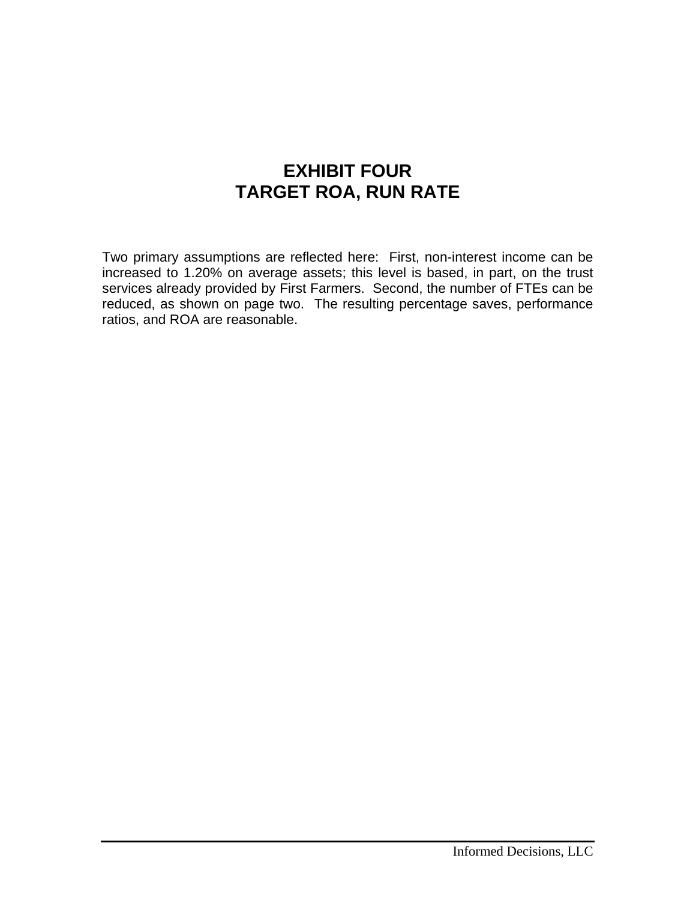### **EXHIBIT FOUR TARGET ROA, RUN RATE**

Two primary assumptions are reflected here: First, non-interest income can be increased to 1.20% on average assets; this level is based, in part, on the trust services already provided by First Farmers. Second, the number of FTEs can be reduced, as shown on page two. The resulting percentage saves, performance ratios, and ROA are reasonable.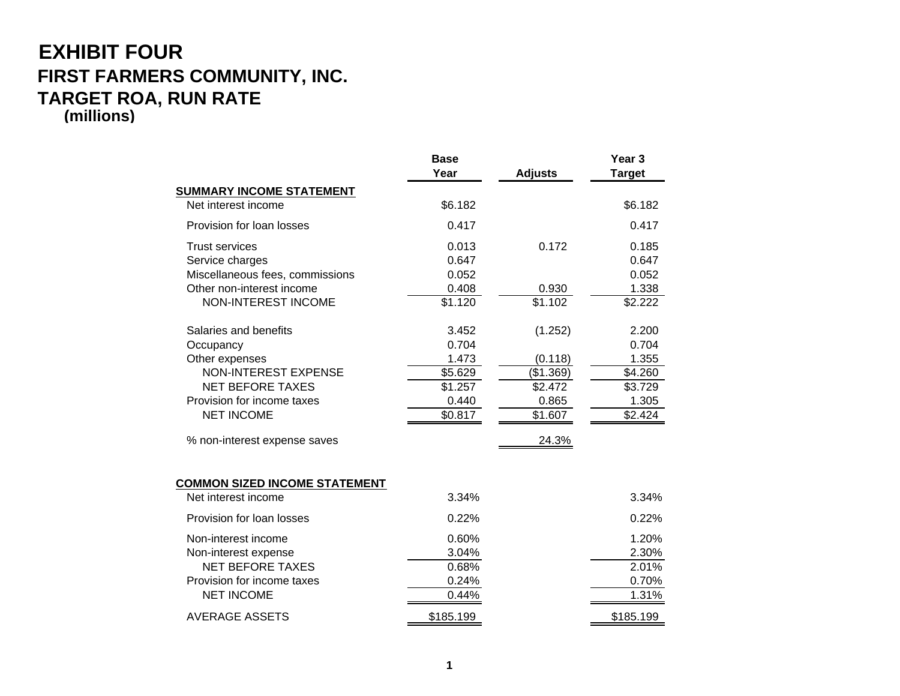#### **EXHIBIT FOUR FIRST FARMERS COMMUNITY, INC. TARGET ROA, RUN RATE (millions)**

|                                                                                                                                                                                                   | <b>Base</b><br>Year                                               | <b>Adjusts</b>                                                          | Year <sub>3</sub><br><b>Target</b>                                |
|---------------------------------------------------------------------------------------------------------------------------------------------------------------------------------------------------|-------------------------------------------------------------------|-------------------------------------------------------------------------|-------------------------------------------------------------------|
| <b>SUMMARY INCOME STATEMENT</b>                                                                                                                                                                   |                                                                   |                                                                         |                                                                   |
| Net interest income                                                                                                                                                                               | \$6.182                                                           |                                                                         | \$6.182                                                           |
| Provision for loan losses                                                                                                                                                                         | 0.417                                                             |                                                                         | 0.417                                                             |
| <b>Trust services</b><br>Service charges<br>Miscellaneous fees, commissions<br>Other non-interest income<br><b>NON-INTEREST INCOME</b>                                                            | 0.013<br>0.647<br>0.052<br>0.408<br>\$1.120                       | 0.172<br>0.930<br>\$1.102                                               | 0.185<br>0.647<br>0.052<br>1.338<br>\$2.222                       |
| Salaries and benefits<br>Occupancy<br>Other expenses<br><b>NON-INTEREST EXPENSE</b><br><b>NET BEFORE TAXES</b><br>Provision for income taxes<br><b>NET INCOME</b><br>% non-interest expense saves | 3.452<br>0.704<br>1.473<br>\$5.629<br>\$1.257<br>0.440<br>\$0.817 | (1.252)<br>(0.118)<br>(\$1.369)<br>\$2.472<br>0.865<br>\$1.607<br>24.3% | 2.200<br>0.704<br>1.355<br>\$4.260<br>\$3.729<br>1.305<br>\$2.424 |
| <b>COMMON SIZED INCOME STATEMENT</b>                                                                                                                                                              |                                                                   |                                                                         |                                                                   |
| Net interest income                                                                                                                                                                               | 3.34%                                                             |                                                                         | 3.34%                                                             |
| Provision for loan losses                                                                                                                                                                         | 0.22%                                                             |                                                                         | 0.22%                                                             |
| Non-interest income<br>Non-interest expense<br><b>NET BEFORE TAXES</b><br>Provision for income taxes<br><b>NET INCOME</b>                                                                         | 0.60%<br>3.04%<br>0.68%<br>0.24%<br>0.44%                         |                                                                         | 1.20%<br>2.30%<br>2.01%<br>0.70%<br>1.31%                         |
| <b>AVERAGE ASSETS</b>                                                                                                                                                                             | \$185.199                                                         |                                                                         | \$185.199                                                         |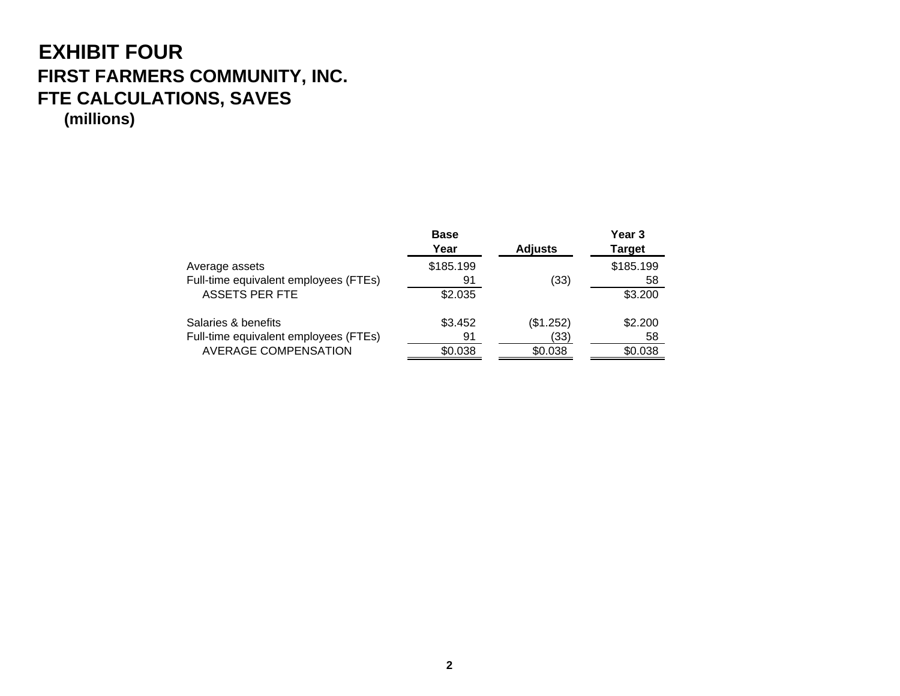#### **EXHIBIT FOUR FIRST FARMERS COMMUNITY, INC. FTE CALCULATIONS, SAVES (millions)**

|                                       | <b>Base</b> |                | Year 3        |
|---------------------------------------|-------------|----------------|---------------|
|                                       | Year        | <b>Adjusts</b> | <b>Target</b> |
| Average assets                        | \$185.199   |                | \$185.199     |
| Full-time equivalent employees (FTEs) | 91          | (33)           | 58            |
| <b>ASSETS PER FTE</b>                 | \$2.035     |                | \$3.200       |
| Salaries & benefits                   | \$3.452     | (\$1.252)      | \$2.200       |
| Full-time equivalent employees (FTEs) | 91          | (33)           | 58            |
| <b>AVERAGE COMPENSATION</b>           | \$0.038     | \$0.038        | \$0.038       |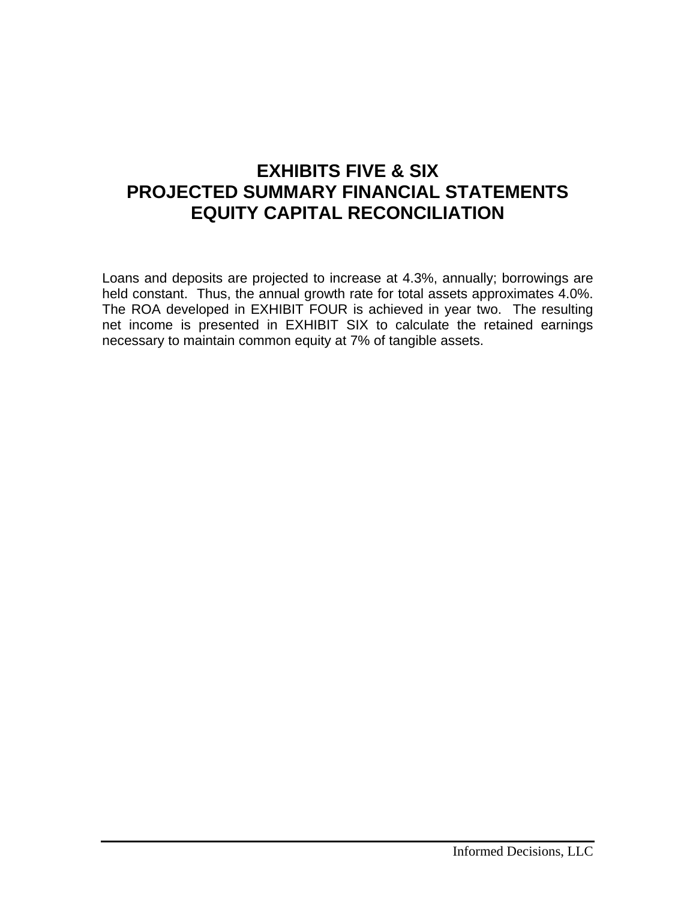## **EXHIBITS FIVE & SIX PROJECTED SUMMARY FINANCIAL STATEMENTS EQUITY CAPITAL RECONCILIATION**

Loans and deposits are projected to increase at 4.3%, annually; borrowings are held constant. Thus, the annual growth rate for total assets approximates 4.0%. The ROA developed in EXHIBIT FOUR is achieved in year two. The resulting net income is presented in EXHIBIT SIX to calculate the retained earnings necessary to maintain common equity at 7% of tangible assets.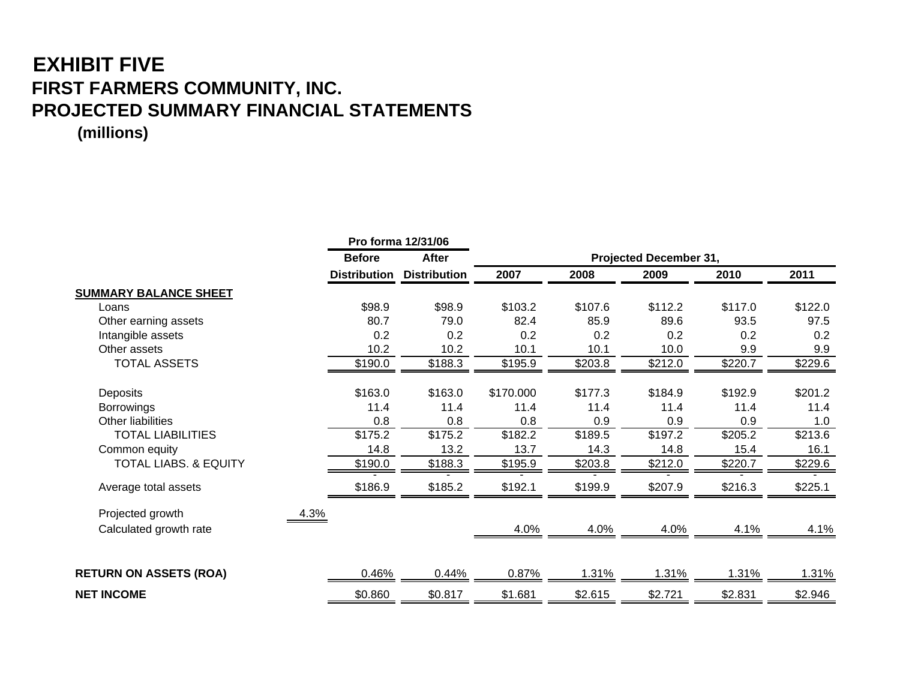## **EXHIBIT FIVE FIRST FARMERS COMMUNITY, INC. PROJECTED SUMMARY FINANCIAL STATEMENTS**

**(millions)**

|                                  |                     | Pro forma 12/31/06  |           |         |                        |         |         |
|----------------------------------|---------------------|---------------------|-----------|---------|------------------------|---------|---------|
|                                  | <b>Before</b>       | <b>After</b>        |           |         | Projected December 31, |         |         |
|                                  | <b>Distribution</b> | <b>Distribution</b> | 2007      | 2008    | 2009                   | 2010    | 2011    |
| <b>SUMMARY BALANCE SHEET</b>     |                     |                     |           |         |                        |         |         |
| Loans                            | \$98.9              | \$98.9              | \$103.2   | \$107.6 | \$112.2                | \$117.0 | \$122.0 |
| Other earning assets             | 80.7                | 79.0                | 82.4      | 85.9    | 89.6                   | 93.5    | 97.5    |
| Intangible assets                | 0.2                 | 0.2                 | 0.2       | 0.2     | 0.2                    | 0.2     | 0.2     |
| Other assets                     | 10.2                | 10.2                | 10.1      | 10.1    | 10.0                   | 9.9     | 9.9     |
| <b>TOTAL ASSETS</b>              | \$190.0             | \$188.3             | \$195.9   | \$203.8 | \$212.0                | \$220.7 | \$229.6 |
| Deposits                         | \$163.0             | \$163.0             | \$170.000 | \$177.3 | \$184.9                | \$192.9 | \$201.2 |
| <b>Borrowings</b>                | 11.4                | 11.4                | 11.4      | 11.4    | 11.4                   | 11.4    | 11.4    |
| Other liabilities                | 0.8                 | 0.8                 | 0.8       | 0.9     | 0.9                    | 0.9     | 1.0     |
| <b>TOTAL LIABILITIES</b>         | \$175.2             | \$175.2             | \$182.2   | \$189.5 | \$197.2                | \$205.2 | \$213.6 |
| Common equity                    | 14.8                | 13.2                | 13.7      | 14.3    | 14.8                   | 15.4    | 16.1    |
| <b>TOTAL LIABS. &amp; EQUITY</b> | \$190.0             | \$188.3             | \$195.9   | \$203.8 | \$212.0                | \$220.7 | \$229.6 |
| Average total assets             | \$186.9             | \$185.2             | \$192.1   | \$199.9 | \$207.9                | \$216.3 | \$225.1 |
| Projected growth<br>4.3%         |                     |                     |           |         |                        |         |         |
| Calculated growth rate           |                     |                     | 4.0%      | 4.0%    | 4.0%                   | 4.1%    | 4.1%    |
|                                  |                     |                     |           |         |                        |         |         |
| <b>RETURN ON ASSETS (ROA)</b>    | 0.46%               | 0.44%               | 0.87%     | 1.31%   | 1.31%                  | 1.31%   | 1.31%   |
| <b>NET INCOME</b>                | \$0.860             | \$0.817             | \$1.681   | \$2.615 | \$2.721                | \$2.831 | \$2.946 |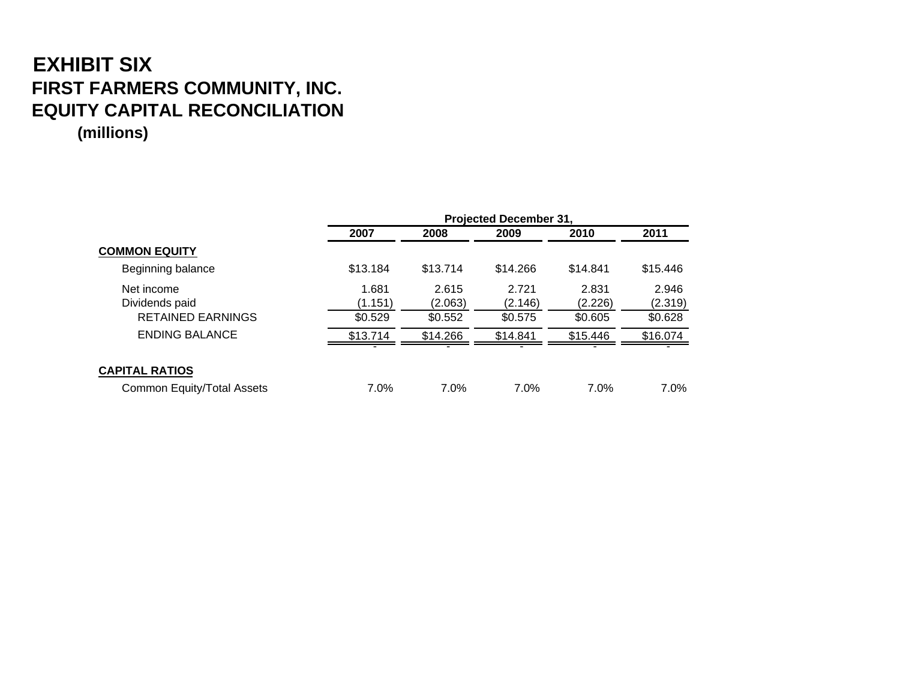# **EXHIBIT SIX FIRST FARMERS COMMUNITY, INC. EQUITY CAPITAL RECONCILIATION**

**(millions)**

|                                   | <b>Projected December 31.</b> |          |          |          |          |  |
|-----------------------------------|-------------------------------|----------|----------|----------|----------|--|
|                                   | 2007                          | 2008     | 2009     | 2010     | 2011     |  |
| <b>COMMON EQUITY</b>              |                               |          |          |          |          |  |
| Beginning balance                 | \$13.184                      | \$13.714 | \$14.266 | \$14.841 | \$15.446 |  |
| Net income                        | 1.681                         | 2.615    | 2.721    | 2.831    | 2.946    |  |
| Dividends paid                    | (1.151)                       | (2.063)  | (2.146)  | (2.226)  | (2.319)  |  |
| <b>RETAINED EARNINGS</b>          | \$0.529                       | \$0.552  | \$0.575  | \$0.605  | \$0.628  |  |
| <b>ENDING BALANCE</b>             | \$13.714                      | \$14.266 | \$14.841 | \$15.446 | \$16.074 |  |
|                                   |                               |          |          |          |          |  |
| <b>CAPITAL RATIOS</b>             |                               |          |          |          |          |  |
| <b>Common Equity/Total Assets</b> | 7.0%                          | $7.0\%$  | 7.0%     | 7.0%     | $7.0\%$  |  |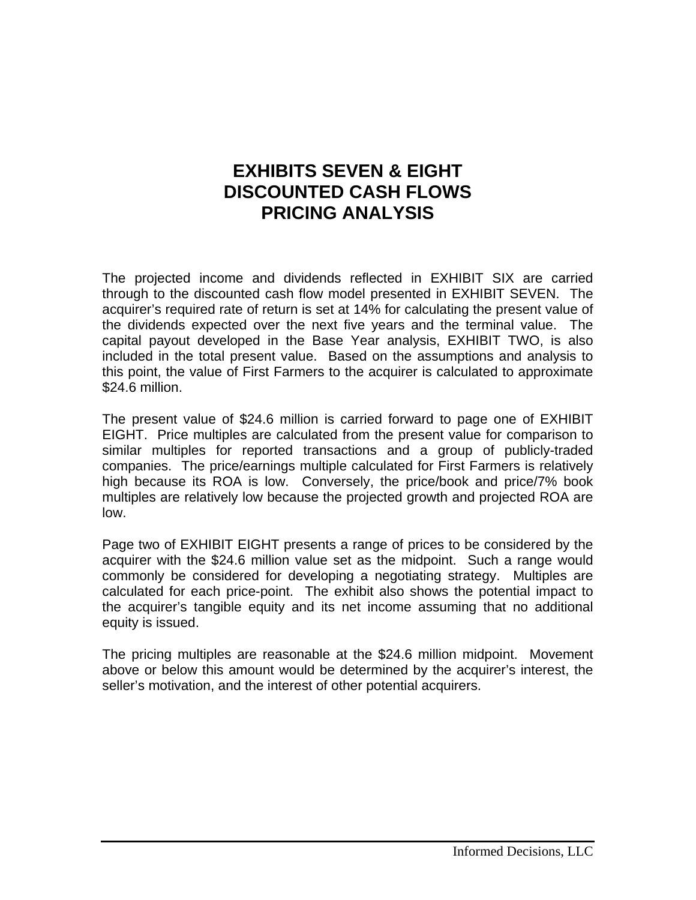#### **EXHIBITS SEVEN & EIGHT DISCOUNTED CASH FLOWS PRICING ANALYSIS**

The projected income and dividends reflected in EXHIBIT SIX are carried through to the discounted cash flow model presented in EXHIBIT SEVEN. The acquirer's required rate of return is set at 14% for calculating the present value of the dividends expected over the next five years and the terminal value. The capital payout developed in the Base Year analysis, EXHIBIT TWO, is also included in the total present value. Based on the assumptions and analysis to this point, the value of First Farmers to the acquirer is calculated to approximate \$24.6 million.

The present value of \$24.6 million is carried forward to page one of EXHIBIT EIGHT. Price multiples are calculated from the present value for comparison to similar multiples for reported transactions and a group of publicly-traded companies. The price/earnings multiple calculated for First Farmers is relatively high because its ROA is low. Conversely, the price/book and price/7% book multiples are relatively low because the projected growth and projected ROA are low.

Page two of EXHIBIT EIGHT presents a range of prices to be considered by the acquirer with the \$24.6 million value set as the midpoint. Such a range would commonly be considered for developing a negotiating strategy. Multiples are calculated for each price-point. The exhibit also shows the potential impact to the acquirer's tangible equity and its net income assuming that no additional equity is issued.

The pricing multiples are reasonable at the \$24.6 million midpoint. Movement above or below this amount would be determined by the acquirer's interest, the seller's motivation, and the interest of other potential acquirers.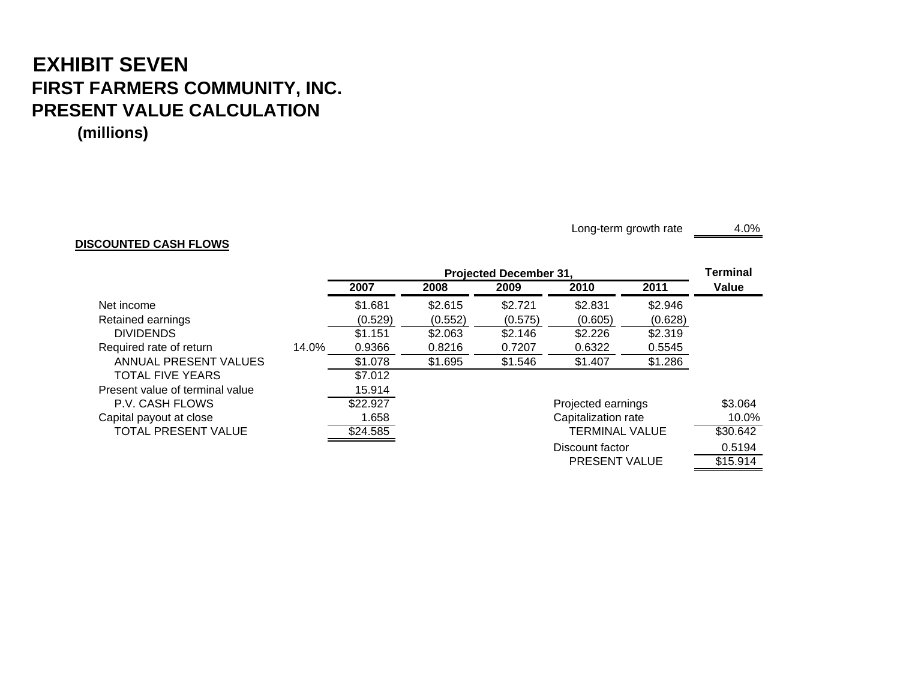## **EXHIBIT SEVEN FIRST FARMERS COMMUNITY, INC. PRESENT VALUE CALCULATION**

**(millions)**

#### **DISCOUNTED CASH FLOWS**

Long-term growth rate 4.0%

PRESENT VALUE \$15.914

|                                 |       | <b>Projected December 31.</b> |         |         |                       |         | <b>Terminal</b> |
|---------------------------------|-------|-------------------------------|---------|---------|-----------------------|---------|-----------------|
|                                 |       | 2007                          | 2008    | 2009    | 2010                  | 2011    | Value           |
| Net income                      |       | \$1.681                       | \$2.615 | \$2.721 | \$2.831               | \$2.946 |                 |
| Retained earnings               |       | (0.529)                       | (0.552) | (0.575) | (0.605)               | (0.628) |                 |
| <b>DIVIDENDS</b>                |       | \$1.151                       | \$2.063 | \$2.146 | \$2.226               | \$2.319 |                 |
| Required rate of return         | 14.0% | 0.9366                        | 0.8216  | 0.7207  | 0.6322                | 0.5545  |                 |
| ANNUAL PRESENT VALUES           |       | \$1.078                       | \$1.695 | \$1.546 | \$1.407               | \$1.286 |                 |
| <b>TOTAL FIVE YEARS</b>         |       | \$7.012                       |         |         |                       |         |                 |
| Present value of terminal value |       | 15.914                        |         |         |                       |         |                 |
| P.V. CASH FLOWS                 |       | \$22.927                      |         |         | Projected earnings    |         | \$3.064         |
| Capital payout at close         |       | 1.658                         |         |         | Capitalization rate   |         | 10.0%           |
| TOTAL PRESENT VALUE             |       | \$24.585                      |         |         | <b>TERMINAL VALUE</b> |         | \$30.642        |
|                                 |       |                               |         |         | Discount factor       |         | 0.5194          |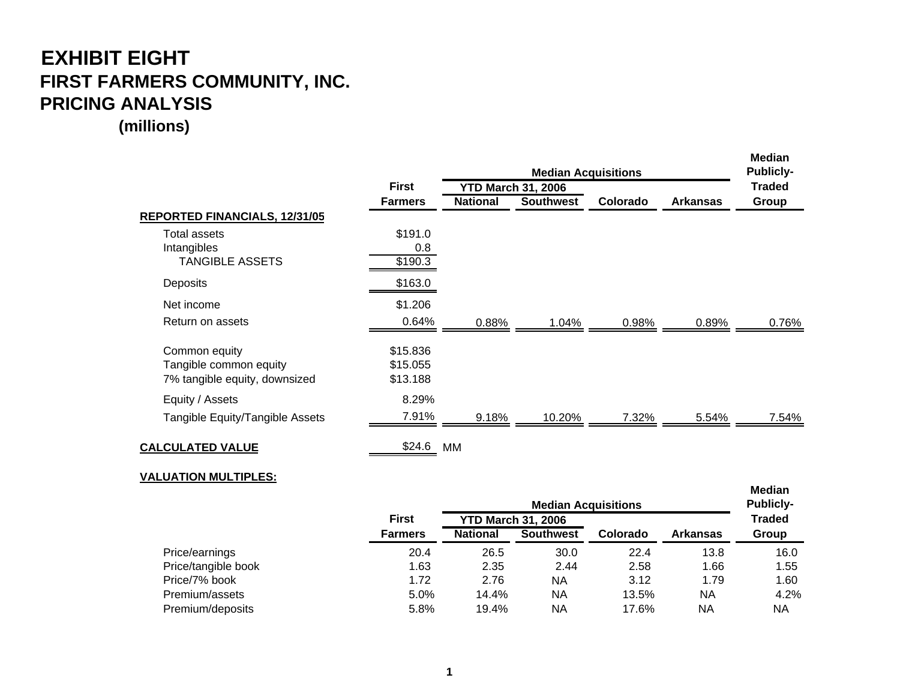#### **EXHIBIT EIGHT FIRST FARMERS COMMUNITY, INC. PRICING ANALYSIS**

**(millions)**

|                                                                          |                                  |                 | <b>Median</b><br><b>Publicly-</b>                       |          |                 |               |
|--------------------------------------------------------------------------|----------------------------------|-----------------|---------------------------------------------------------|----------|-----------------|---------------|
|                                                                          | <b>First</b>                     |                 | <b>Median Acquisitions</b><br><b>YTD March 31, 2006</b> |          |                 | <b>Traded</b> |
|                                                                          | <b>Farmers</b>                   | <b>National</b> | <b>Southwest</b>                                        | Colorado | <b>Arkansas</b> | Group         |
| REPORTED FINANCIALS, 12/31/05                                            |                                  |                 |                                                         |          |                 |               |
| Total assets                                                             | \$191.0                          |                 |                                                         |          |                 |               |
| Intangibles                                                              | 0.8                              |                 |                                                         |          |                 |               |
| <b>TANGIBLE ASSETS</b>                                                   | \$190.3                          |                 |                                                         |          |                 |               |
| Deposits                                                                 | \$163.0                          |                 |                                                         |          |                 |               |
| Net income                                                               | \$1.206                          |                 |                                                         |          |                 |               |
| Return on assets                                                         | 0.64%                            | 0.88%           | 1.04%                                                   | 0.98%    | 0.89%           | 0.76%         |
| Common equity<br>Tangible common equity<br>7% tangible equity, downsized | \$15.836<br>\$15.055<br>\$13.188 |                 |                                                         |          |                 |               |
| Equity / Assets                                                          | 8.29%                            |                 |                                                         |          |                 |               |
| Tangible Equity/Tangible Assets                                          | 7.91%                            | 9.18%           | 10.20%                                                  | 7.32%    | 5.54%           | 7.54%         |
| <b>CALCULATED VALUE</b>                                                  | \$24.6                           | МM              |                                                         |          |                 |               |

#### **VALUATION MULTIPLES:**

|                     |                | <b>Publicly-</b><br><b>Median Acquisitions</b> |                           |          |                 |               |
|---------------------|----------------|------------------------------------------------|---------------------------|----------|-----------------|---------------|
|                     | <b>First</b>   |                                                | <b>YTD March 31, 2006</b> |          |                 | <b>Traded</b> |
|                     | <b>Farmers</b> | <b>National</b>                                | <b>Southwest</b>          | Colorado | <b>Arkansas</b> | Group         |
| Price/earnings      | 20.4           | 26.5                                           | 30.0                      | 22.4     | 13.8            | 16.0          |
| Price/tangible book | 1.63           | 2.35                                           | 2.44                      | 2.58     | 1.66            | 1.55          |
| Price/7% book       | 1.72           | 2.76                                           | ΝA                        | 3.12     | 1.79            | 1.60          |
| Premium/assets      | 5.0%           | 14.4%                                          | ΝA                        | 13.5%    | ΝA              | 4.2%          |
| Premium/deposits    | 5.8%           | 19.4%                                          | ΝA                        | 17.6%    | ΝA              | NA            |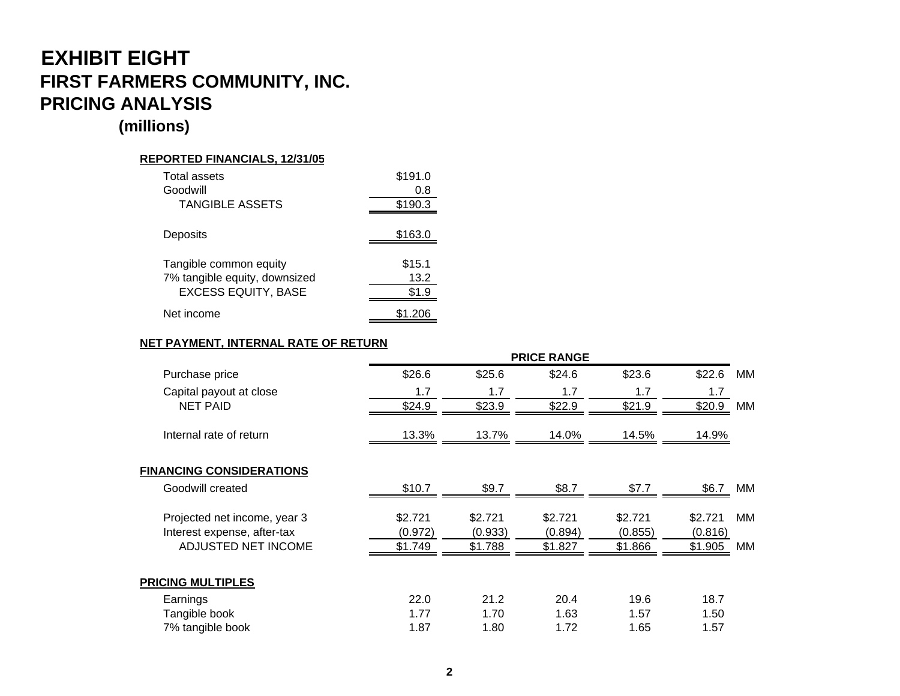#### **EXHIBIT EIGHT FIRST FARMERS COMMUNITY, INC. PRICING ANALYSIS**

#### **(millions)**

#### **REPORTED FINANCIALS, 12/31/05**

| Total assets                  | \$191.0 |
|-------------------------------|---------|
| Goodwill                      | 0.8     |
| <b>TANGIBLE ASSETS</b>        | \$190.3 |
|                               |         |
| Deposits                      | \$163.0 |
|                               |         |
| Tangible common equity        | \$15.1  |
| 7% tangible equity, downsized | 13.2    |
| <b>EXCESS EQUITY, BASE</b>    | \$1.9   |
| Net income                    | \$1.206 |

#### **NET PAYMENT, INTERNAL RATE OF RETURN**

|                                 | <b>PRICE RANGE</b> |         |         |         |         |    |  |
|---------------------------------|--------------------|---------|---------|---------|---------|----|--|
| Purchase price                  | \$26.6             | \$25.6  | \$24.6  | \$23.6  | \$22.6  | МM |  |
| Capital payout at close         | 1.7                | 1.7     | 1.7     | 1.7     | 1.7     |    |  |
| <b>NET PAID</b>                 | \$24.9             | \$23.9  | \$22.9  | \$21.9  | \$20.9  | MM |  |
| Internal rate of return         | 13.3%              | 13.7%   | 14.0%   | 14.5%   | 14.9%   |    |  |
| <b>FINANCING CONSIDERATIONS</b> |                    |         |         |         |         |    |  |
| Goodwill created                | \$10.7             | \$9.7   | \$8.7   | \$7.7   | \$6.7   | ΜМ |  |
| Projected net income, year 3    | \$2.721            | \$2.721 | \$2.721 | \$2.721 | \$2.721 | MМ |  |
| Interest expense, after-tax     | (0.972)            | (0.933) | (0.894) | (0.855) | (0.816) |    |  |
| ADJUSTED NET INCOME             | \$1.749            | \$1.788 | \$1.827 | \$1.866 | \$1.905 | MМ |  |
| <b>PRICING MULTIPLES</b>        |                    |         |         |         |         |    |  |
| Earnings                        | 22.0               | 21.2    | 20.4    | 19.6    | 18.7    |    |  |
| Tangible book                   | 1.77               | 1.70    | 1.63    | 1.57    | 1.50    |    |  |
| 7% tangible book                | 1.87               | 1.80    | 1.72    | 1.65    | 1.57    |    |  |